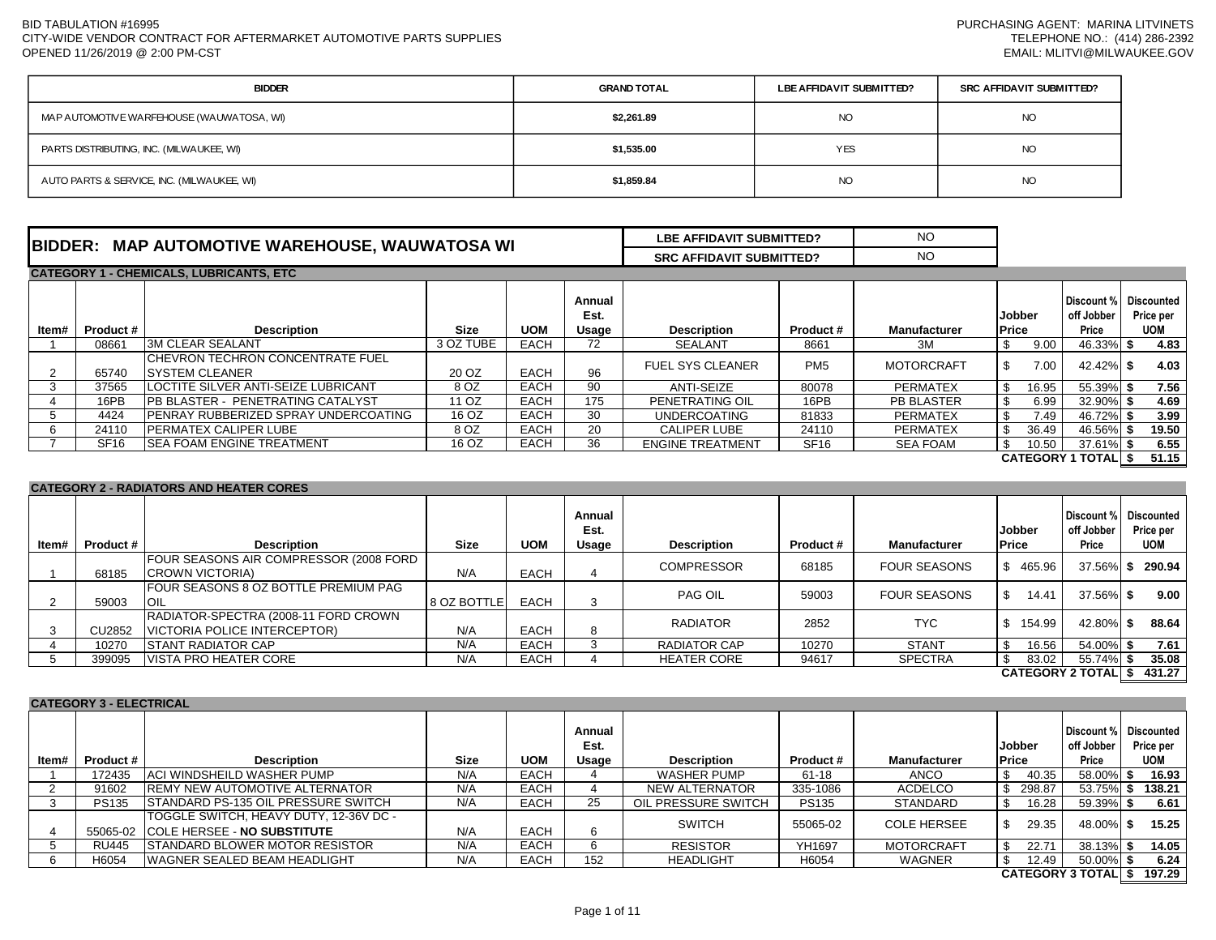| <b>BIDDER</b>                              | <b>GRAND TOTAL</b> | LBE AFFIDAVIT SUBMITTED? | SRC AFFIDAVIT SUBMITTED? |
|--------------------------------------------|--------------------|--------------------------|--------------------------|
| MAP AUTOMOTIVE WARFEHOUSE (WAUWATOSA, WI)  | \$2,261.89         | <b>NO</b>                | NO                       |
| PARTS DISTRIBUTING, INC. (MILWAUKEE, WI)   | \$1,535.00         | <b>YES</b>               | NO                       |
| AUTO PARTS & SERVICE, INC. (MILWAUKEE, WI) | \$1,859.84         | <b>NO</b>                | NO                       |

| <b>BIDDER:</b><br>, WAUWATOSA WI<br><b>MAP AUTOMOTIVE WAREHOUSE,</b> | LBE AFFIDAVIT SUBMITTED?        | <b>NC</b> |
|----------------------------------------------------------------------|---------------------------------|-----------|
|                                                                      | <b>SRC AFFIDAVIT SUBMITTED?</b> | <b>NC</b> |

|       | <b>CATEGORY 1 - CHEMICALS, LUBRICANTS, ETC</b> |                                                                    |           |             |                         |                         |                  |                   |                        |                                              |                         |       |  |
|-------|------------------------------------------------|--------------------------------------------------------------------|-----------|-------------|-------------------------|-------------------------|------------------|-------------------|------------------------|----------------------------------------------|-------------------------|-------|--|
| ltem# | <b>Product #</b>                               | <b>Description</b>                                                 | Size      | <b>UOM</b>  | Annual<br>Est.<br>Usage | <b>Description</b>      | <b>Product #</b> | Manufacturer      | Jobber<br><b>Price</b> | Discount % Discounted<br>off Jobber<br>Price | Price per<br><b>UOM</b> |       |  |
|       | 08661                                          | <b>3M CLEAR SEALANT</b>                                            | 3 OZ TUBE | <b>EACH</b> | 72                      | SEALANT                 | 8661             | ЗM                | \$<br>9.00             | 46.33% \$                                    |                         | 4.83  |  |
|       | 65740                                          | <b>ICHEVRON TECHRON CONCENTRATE FUEL</b><br><b>ISYSTEM CLEANER</b> | 20 OZ     | <b>EACH</b> | 96                      | <b>FUEL SYS CLEANER</b> | PM <sub>5</sub>  | <b>MOTORCRAFT</b> | 7.00<br>Ж              | 42.42% \$                                    |                         | 4.03  |  |
|       | 37565                                          | LOCTITE SILVER ANTI-SEIZE LUBRICANT                                | 8 OZ      | <b>EACH</b> | 90                      | <b>ANTI-SEIZE</b>       | 80078            | <b>PERMATEX</b>   | 16.95<br>- \$          | 55.39% \$                                    |                         | 7.56  |  |
|       | 16PB                                           | <b>IPB BLASTER - PENETRATING CATALYST</b>                          | 11 OZ     | <b>EACH</b> | 175                     | PENETRATING OIL         | 16PB             | <b>PB BLASTER</b> | 6.99<br>-S             | 32.90% \$                                    |                         | 4.69  |  |
|       | 4424                                           | <b>IPENRAY RUBBERIZED SPRAY UNDERCOATING</b>                       | 16 OZ     | <b>EACH</b> | 30                      | <b>UNDERCOATING</b>     | 81833            | <b>PERMATEX</b>   | S<br>7.49              | 46.72% \$                                    |                         | 3.99  |  |
|       | 24110                                          | <b>IPERMATEX CALIPER LUBE</b>                                      | 8 OZ      | <b>EACH</b> | 20                      | <b>CALIPER LUBE</b>     | 24110            | <b>PERMATEX</b>   | 36.49<br>\$            | 46.56% \$                                    |                         | 19.50 |  |
|       | SF <sub>16</sub>                               | <b>SEA FOAM ENGINE TREATMENT</b>                                   | 16 OZ     | <b>EACH</b> | 36                      | <b>ENGINE TREATMENT</b> | SF <sub>16</sub> | SEA FOAM          | 10.50<br>-S            | 37.61% \$                                    |                         | 6.55  |  |
|       |                                                |                                                                    |           |             |                         |                         |                  |                   |                        | <b>CATEGORY 1 TOTALI \$</b>                  | 51.15                   |       |  |

## **CATEGORY 2 - RADIATORS AND HEATER CORES**

| ltem# | Product # | <b>Description</b>                                                   | <b>Size</b> | <b>UOM</b>  | Annual<br>Est.<br>Usage | <b>Description</b> | Product # | <b>Manufacturer</b> | <b>Jobber</b><br><b>Price</b> | Discount %<br>off Jobber<br>Price | Discounted<br>Price per<br><b>UOM</b> |
|-------|-----------|----------------------------------------------------------------------|-------------|-------------|-------------------------|--------------------|-----------|---------------------|-------------------------------|-----------------------------------|---------------------------------------|
|       | 68185     | FOUR SEASONS AIR COMPRESSOR (2008 FORD<br><b>ICROWN VICTORIA)</b>    | N/A         | <b>EACH</b> |                         | <b>COMPRESSOR</b>  | 68185     | <b>FOUR SEASONS</b> | 465.96<br>S.                  | $37.56\%$ \$                      | 290.94                                |
|       | 59003     | FOUR SEASONS 8 OZ BOTTLE PREMIUM PAG<br>IOIL                         | 8 OZ BOTTLE | <b>EACH</b> |                         | PAG OIL            | 59003     | <b>FOUR SEASONS</b> | 14.41<br>S                    | 37.56% \$                         | 9.00                                  |
|       | CU2852    | RADIATOR-SPECTRA (2008-11 FORD CROWN<br>VICTORIA POLICE INTERCEPTOR) | N/A         | <b>EACH</b> | 8                       | <b>RADIATOR</b>    | 2852      | <b>TYC</b>          | 154.99<br>-S                  | 42.80% \$                         | 88.64                                 |
|       | 10270     | <b>ISTANT RADIATOR CAP</b>                                           | N/A         | <b>EACH</b> |                         | RADIATOR CAP       | 10270     | <b>STANT</b>        | 16.56<br>-S                   | 54.00% \$                         | 7.61                                  |
|       | 399095    | IVISTA PRO HEATER CORE                                               | N/A         | <b>EACH</b> |                         | <b>HEATER CORE</b> | 94617     | <b>SPECTRA</b>      | - \$<br>83.02                 | 55.74% \$                         | 35.08                                 |
|       |           |                                                                      |             |             |                         |                    |           |                     |                               |                                   | CATEGORY 2 TOTAL   \$431.27           |

| <b>CATEGORY 3 - ELECTRICAL</b> |                                        |                                             |      |             |                |                     |              |                     |               |                                     |            |  |
|--------------------------------|----------------------------------------|---------------------------------------------|------|-------------|----------------|---------------------|--------------|---------------------|---------------|-------------------------------------|------------|--|
|                                | <b>Description</b><br><b>Product #</b> |                                             |      |             | Annual<br>Est. |                     |              |                     | <b>Jobber</b> | Discount % Discounted<br>off Jobber | Price per  |  |
| ltem#                          |                                        |                                             | Size | <b>UOM</b>  | Usage          | <b>Description</b>  | Product #    | <b>Manufacturer</b> | <b>Price</b>  | Price                               | <b>UOM</b> |  |
|                                | 172435                                 | <b>ACI WINDSHEILD WASHER PUMP</b>           | N/A  | <b>EACH</b> |                | <b>WASHER PUMP</b>  | 61-18        | ANCO                | 40.35         | 58.00% \$                           | 16.93      |  |
|                                | 91602                                  | <b>REMY NEW AUTOMOTIVE ALTERNATOR</b>       | N/A  | <b>EACH</b> |                | NEW ALTERNATOR      | 335-1086     | ACDELCO             | 298.87        | 53.75% \$                           | 138.21     |  |
|                                | <b>PS135</b>                           | <b>ISTANDARD PS-135 OIL PRESSURE SWITCH</b> | N/A  | <b>EACH</b> | 25             | OIL PRESSURE SWITCH | <b>PS135</b> | <b>STANDARD</b>     | 16.28         | 59.39% \$                           | 6.61       |  |
|                                |                                        | TOGGLE SWITCH, HEAVY DUTY, 12-36V DC -      |      |             |                |                     |              |                     |               |                                     | 15.25      |  |
|                                |                                        | 55065-02 COLE HERSEE - NO SUBSTITUTE        | N/A  | <b>EACH</b> |                | <b>SWITCH</b>       | 55065-02     | <b>COLE HERSEE</b>  | 29.35         | 48.00% \$                           |            |  |
|                                | RU445                                  | STANDARD BLOWER MOTOR RESISTOR              | N/A  | <b>EACH</b> |                | <b>RESISTOR</b>     | YH1697       | <b>MOTORCRAFT</b>   | 22.71         | 38.13% \$                           | 14.05      |  |
|                                | H6054                                  | <b>IWAGNER SEALED BEAM HEADLIGHT</b>        | N/A  | <b>EACH</b> | 152            | <b>HEADLIGHT</b>    | H6054        | WAGNER              | 12.49         | 50.00%   \$                         | 6.24       |  |
|                                |                                        |                                             |      |             |                |                     |              |                     |               | $\bigcap_{n=1}^{\infty}$            |            |  |

**\$ 197.29 CATEGORY 3 TOTAL**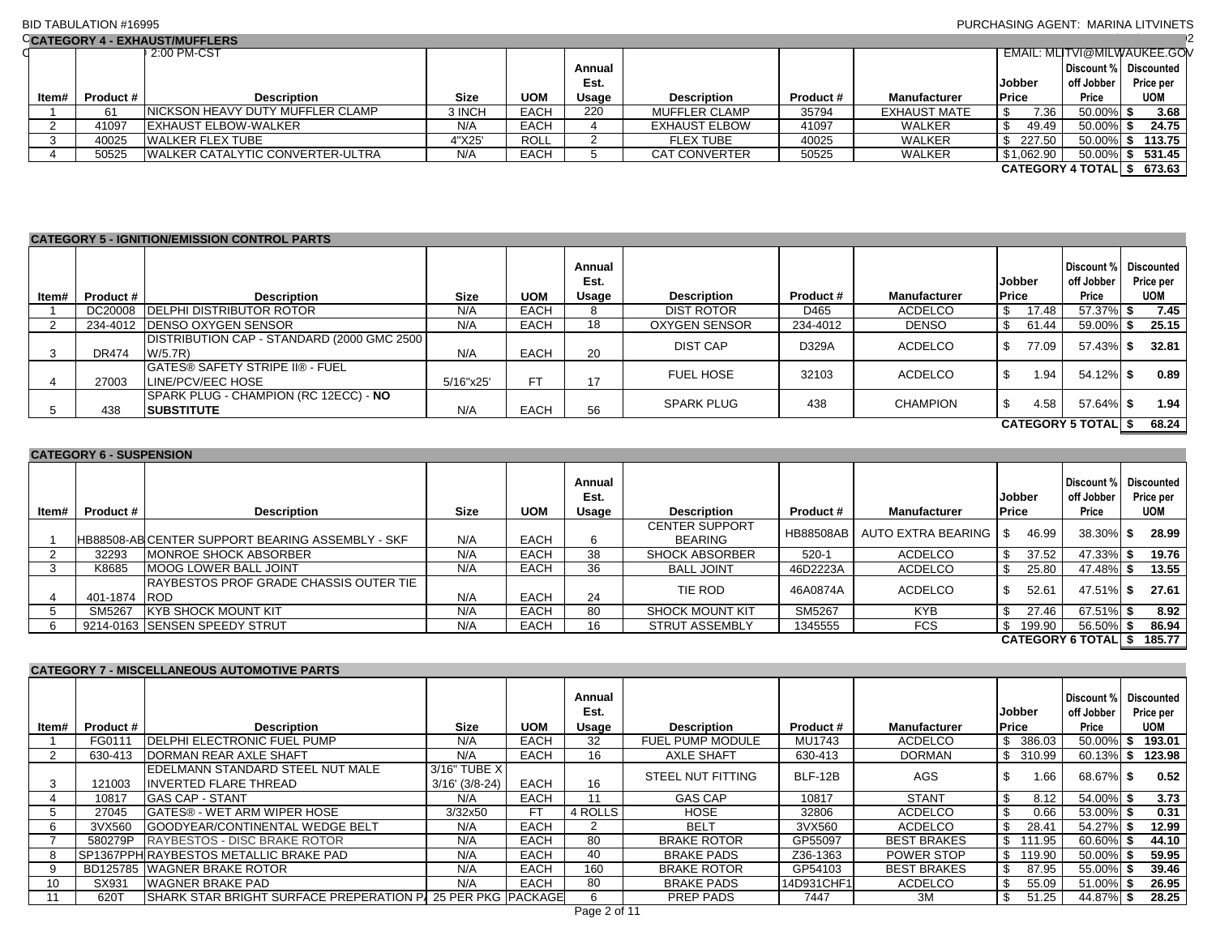## BID TABULATION #16995

## PURCHASING AGENT: MARINA LITVINETS

|       | CCATEGORY 4 - EXHAUST/MUFFLERS |                                          |             |             |        |                      |           |                     |                              |                       |                             |  |  |  |
|-------|--------------------------------|------------------------------------------|-------------|-------------|--------|----------------------|-----------|---------------------|------------------------------|-----------------------|-----------------------------|--|--|--|
|       |                                | 2:00 PM-CST                              |             |             |        |                      |           |                     |                              |                       | EMAIL: MLITVI@MILWAUKEE.GOV |  |  |  |
|       |                                |                                          |             |             | Annual |                      |           |                     |                              | Discount % Discounted |                             |  |  |  |
|       |                                |                                          |             |             | Est.   |                      |           |                     | <b>Jobber</b>                | off Jobber            | Price per                   |  |  |  |
| Item# | Product #                      | <b>Description</b>                       | <b>Size</b> | <b>UOM</b>  | Usage  | <b>Description</b>   | Product # | <b>Manufacturer</b> | <b>Price</b>                 | Price                 | <b>UOM</b>                  |  |  |  |
|       | 61                             | <b>INICKSON HEAVY DUTY MUFFLER CLAMP</b> | 3 INCH      | <b>EACH</b> | 220    | <b>MUFFLER CLAMP</b> | 35794     | <b>EXHAUST MATE</b> | 7.36                         | 50.00% \$             | 3.68                        |  |  |  |
|       | 41097                          | <b>EXHAUST ELBOW-WALKER</b>              | N/A         | <b>EACH</b> |        | <b>EXHAUST ELBOW</b> | 41097     | <b>WALKER</b>       | 49.49                        | $50.00\%$ \$          | 24.75                       |  |  |  |
|       | 40025                          | <b>WALKER FLEX TUBE</b>                  | 4"X25'      | ROLL        |        | <b>FLEX TUBE</b>     | 40025     | <b>WALKER</b>       | 227.50                       | 50.00% \$             | 113.75                      |  |  |  |
|       | 50525                          | <b>IWALKER CATALYTIC CONVERTER-ULTRA</b> | N/A         | <b>EACH</b> |        | <b>CAT CONVERTER</b> | 50525     | WALKER              | \$1,062.90                   | 50.00%                | 531.45                      |  |  |  |
|       |                                |                                          |             |             |        |                      |           |                     | <b>CATEGORY 4 TOTAL   \$</b> |                       | 673.63                      |  |  |  |

|                           | <b>CATEGORY 5 - IGNITION/EMISSION CONTROL PARTS</b> |                                                              |             |             |                         |                      |           |                     |                        |                                   |                                       |  |  |
|---------------------------|-----------------------------------------------------|--------------------------------------------------------------|-------------|-------------|-------------------------|----------------------|-----------|---------------------|------------------------|-----------------------------------|---------------------------------------|--|--|
| ltem#                     | Product #                                           | <b>Description</b>                                           | <b>Size</b> | <b>UOM</b>  | Annual<br>Est.<br>Usage | <b>Description</b>   | Product # | <b>Manufacturer</b> | <b>Jobber</b><br>Price | Discount %<br>off Jobber<br>Price | Discounted<br>Price per<br><b>UOM</b> |  |  |
|                           |                                                     | DC20008 DELPHI DISTRIBUTOR ROTOR                             | N/A         | <b>EACH</b> | 8                       | DIST ROTOR           | D465      | ACDELCO             | 17.48                  | 57.37% \$                         | 7.45                                  |  |  |
|                           | 234-4012                                            | <b>DENSO OXYGEN SENSOR</b>                                   | N/A         | EACH        | 18                      | <b>OXYGEN SENSOR</b> | 234-4012  | <b>DENSO</b>        | 61.44                  | 59.00% \$                         | 25.15                                 |  |  |
| -3                        | <b>DR474</b>                                        | DISTRIBUTION CAP - STANDARD (2000 GMC 2500)<br>W/5.7R        | N/A         | <b>EACH</b> | 20                      | <b>DIST CAP</b>      | D329A     | ACDELCO             | 77.09                  | 57.43% \$                         | 32.81                                 |  |  |
|                           | 27003                                               | <b>IGATES® SAFETY STRIPE II® - FUEL</b><br>LINE/PCV/EEC HOSE | 5/16"x25'   | FT.         | 17                      | <b>FUEL HOSE</b>     | 32103     | <b>ACDELCO</b>      | 1.94                   | 54.12% \$                         | 0.89                                  |  |  |
|                           | 438                                                 | SPARK PLUG - CHAMPION (RC 12ECC) - NO<br><b>SUBSTITUTE</b>   | N/A         | <b>EACH</b> | 56                      | <b>SPARK PLUG</b>    | 438       | <b>CHAMPION</b>     | 4.58                   | 57.64% \$                         | 1.94                                  |  |  |
| <b>CATEGORY 5 TOTAL S</b> |                                                     |                                                              |             |             |                         |                      |           |                     |                        |                                   | 68.24                                 |  |  |

# **CATEGORY 6 - SUSPENSION**

| ltem# | Product # | <b>Description</b>                                      | <b>Size</b> | <b>UOM</b>  | Annual<br>Est.<br>Usage | <b>Description</b>                      | Product #        | <b>Manufacturer</b> | <b>Jobber</b><br><b>Price</b> |        | Discount % Discounted<br>off Jobber<br>Price | Price per<br>UOM |  |
|-------|-----------|---------------------------------------------------------|-------------|-------------|-------------------------|-----------------------------------------|------------------|---------------------|-------------------------------|--------|----------------------------------------------|------------------|--|
|       |           | <b>HB88508-ABICENTER SUPPORT BEARING ASSEMBLY - SKF</b> | N/A         | <b>EACH</b> | 6                       | <b>CENTER SUPPORT</b><br><b>BEARING</b> | <b>HB88508AB</b> | AUTO EXTRA BEARING  |                               | 46.99  | 38.30% \$                                    | 28.99            |  |
|       | 32293     | <b>MONROE SHOCK ABSORBER</b>                            | N/A         | <b>EACH</b> | 38                      | <b>SHOCK ABSORBER</b>                   | $520-1$          | <b>ACDELCO</b>      | \$.                           | 37.52  | 47.33%                                       | 19.76            |  |
|       | K8685     | <b>MOOG LOWER BALL JOINT</b>                            | N/A         | <b>EACH</b> | 36                      | <b>BALL JOINT</b>                       | 46D2223A         | <b>ACDELCO</b>      |                               | 25.80  | 47.48% \$                                    | 13.55            |  |
|       | 401-1874  | IRAYBESTOS PROF GRADE CHASSIS OUTER TIE<br><b>ROD</b>   | N/A         | <b>EACH</b> | 24                      | TIE ROD                                 | 46A0874A         | <b>ACDELCO</b>      |                               | 52.61  | 47.51% \$                                    | 27.61            |  |
|       | SM5267    | <b>IKYB SHOCK MOUNT KIT</b>                             | N/A         | <b>EACH</b> | 80                      | <b>SHOCK MOUNT KIT</b>                  | SM5267           | <b>KYB</b>          |                               | 27.46  | 67.51% S                                     | 8.92             |  |
|       |           | 9214-0163 SENSEN SPEEDY STRUT                           | N/A         | <b>EACH</b> | 16                      | <b>STRUT ASSEMBLY</b>                   | 1345555          | <b>FCS</b>          |                               | 199.90 | 56.50% \$                                    | 86.94            |  |
|       |           |                                                         |             |             |                         |                                         |                  |                     |                               |        | <b>CATEGORY 6 TOTALIS</b>                    | 185.77           |  |

## **CATEGORY 7 - MISCELLANEOUS AUTOMOTIVE PARTS**

|       |           |                                                             |                      |             | Annual<br>Est. |                          |            |                    | <b>Jobber</b> | Discount %<br>off Jobber | Discounted<br>Price per |
|-------|-----------|-------------------------------------------------------------|----------------------|-------------|----------------|--------------------------|------------|--------------------|---------------|--------------------------|-------------------------|
| ltem# | Product # | <b>Description</b>                                          | <b>Size</b>          | <b>UOM</b>  | Usage          | <b>Description</b>       | Product #  | Manufacturer       | <b>Price</b>  | Price                    | <b>UOM</b>              |
|       | FG0111    | <b>IDELPHI ELECTRONIC FUEL PUMP</b>                         | N/A                  | <b>EACH</b> | 32             | <b>FUEL PUMP MODULE</b>  | MU1743     | ACDELCO            | 386.03<br>\$  | $50.00\%$ \$             | 193.01                  |
|       | 630-413   | <b>DORMAN REAR AXLE SHAFT</b>                               | N/A                  | <b>EACH</b> | 16             | <b>AXLE SHAFT</b>        | 630-413    | <b>DORMAN</b>      | 310.99<br>\$  | $60.13\%$ \$             | 123.98                  |
|       |           | <b>IEDELMANN STANDARD STEEL NUT MALE</b>                    | 3/16" TUBE X         |             |                | <b>STEEL NUT FITTING</b> | BLF-12B    | <b>AGS</b>         | 1.66          | 68.67% \$                | 0.52                    |
|       | 121003    | IINVERTED FLARE THREAD                                      | $3/16'$ ( $3/8-24$ ) | <b>EACH</b> | 16             |                          |            |                    |               |                          |                         |
|       | 10817     | <b>GAS CAP - STANT</b>                                      | N/A                  | EACH        | 11             | <b>GAS CAP</b>           | 10817      | <b>STANT</b>       | 8.12<br>-S    | 54.00% \$                | 3.73                    |
|       | 27045     | <b>GATES® - WET ARM WIPER HOSE</b>                          | 3/32x50              | <b>FT</b>   | 4 ROLLS        | <b>HOSE</b>              | 32806      | <b>ACDELCO</b>     | \$.<br>0.66   | 53.00% \$                | 0.31                    |
| 6     | 3VX560    | <b>IGOODYEAR/CONTINENTAL WEDGE BELT</b>                     | N/A                  | <b>EACH</b> | ◠              | <b>BELT</b>              | 3VX560     | ACDELCO            | \$<br>28.41   | 54.27% \$                | 12.99                   |
|       | 580279P   | <b>RAYBESTOS - DISC BRAKE ROTOR</b>                         | N/A                  | <b>EACH</b> | 80             | <b>BRAKE ROTOR</b>       | GP55097    | <b>BEST BRAKES</b> | S.<br>111.95  | $60.60\%$ \$             | 44.10                   |
| 8     |           | SP1367PPH RAYBESTOS METALLIC BRAKE PAD                      | N/A                  | <b>EACH</b> | 40             | <b>BRAKE PADS</b>        | Z36-1363   | POWER STOP         | 119.90<br>\$  | $50.00\%$ \$             | 59.95                   |
|       |           | BD125785 WAGNER BRAKE ROTOR                                 | N/A                  | <b>EACH</b> | 160            | <b>BRAKE ROTOR</b>       | GP54103    | <b>BEST BRAKES</b> | 87.95         | 55.00% \$                | 39.46                   |
| 10    | SX931     | <b>WAGNER BRAKE PAD</b>                                     | N/A                  | <b>EACH</b> | 80             | <b>BRAKE PADS</b>        | 14D931CHF1 | ACDELCO            | 55.09         | 51.00% \$                | 26.95                   |
|       | 620T      | SHARK STAR BRIGHT SURFACE PREPERATION P/ 25 PER PKG PACKAGE |                      |             | 6              | PREP PADS                | 7447       | 3M                 | 51.25         | 44.87% \$                | 28.25                   |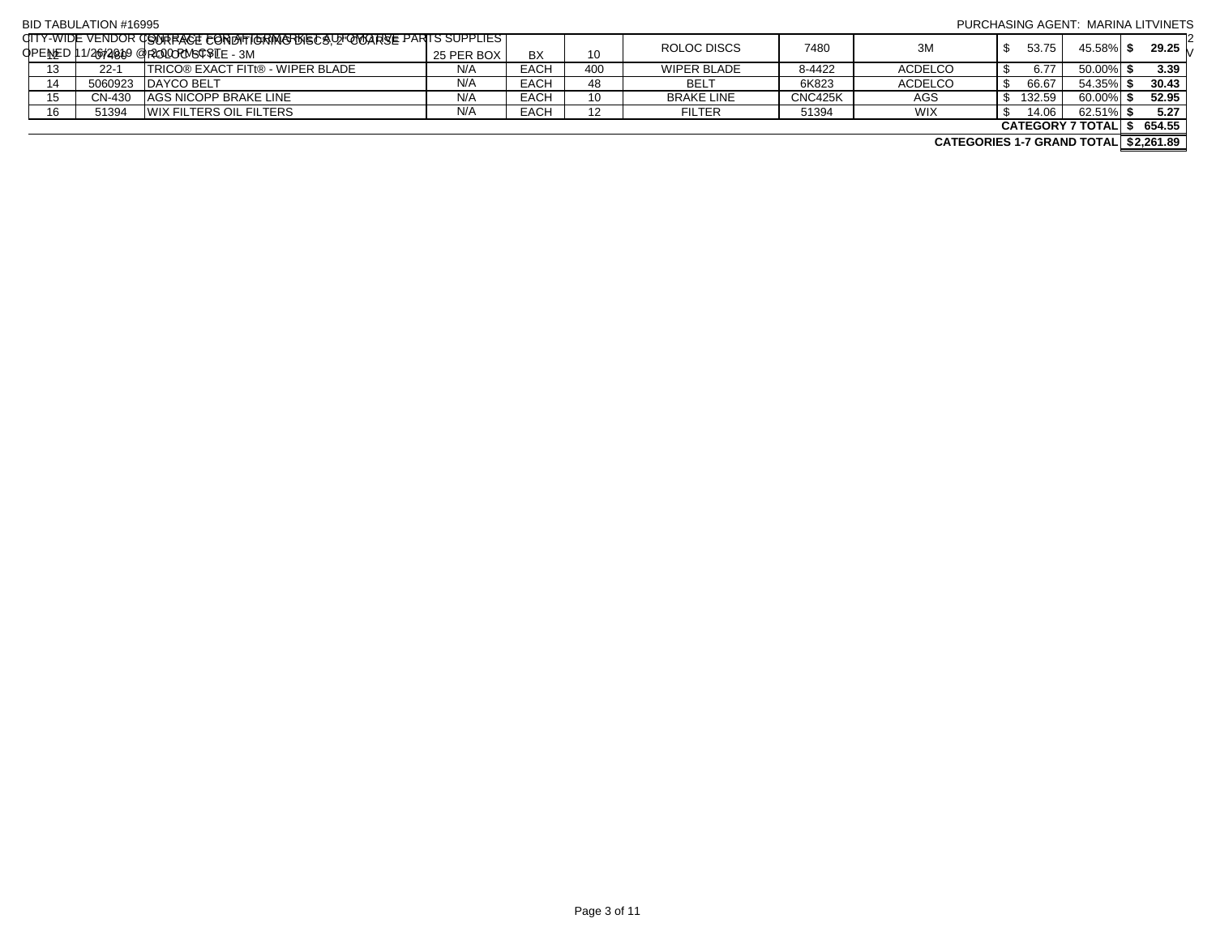#### BID TABULATION #16995  $\rm q$ ITY-WIDE VENDOR GONTRACT FOR DITIGRING RUST O LATOMOTIVE PARTS SUPPLIES. OPENED 11/26/2019 @ 2:00 PM-CST 12 07480 EMAIL: MLITVI@MILWAUKEE.GOV PURCHASING AGENT: MARINA LITVINETS TELEPHONE NO.: (414) 286-2392 **ROLOC SERVIST CONDITIONMINAL DISCOLACE - AND CONDITABLY THAT CONDITIONS** BX 10 ROLOC DISCS 7480 3M \$ 53.75 \$ 53.75 45.58% \$ 29.25 13 22-1 TRICO® EXACT FITt® - WIPER BLADE N/A EACH 400 WIPER BLADE 8-4422 ACDELCO \$ 6.77 50.00% **\$ 3.39** 14 | 5060923 |DAYCO BELT | N/A | EACH | 48 | BELT | 6K823 | ACDELCO | \$ 66.67 | 54.35%| **\$ 30.43** 15 CN-430 AGS NICOPP BRAKE LINE N/A EACH 10 BRAKE LINE CNC425K AGS \$ 132.59 60.00% **\$ 52.95** 16 51394 WIX FILTERS OIL FILTERS N/A EACH 12 FILTER 51394 WIX \$ 14.06 62.51% **\$ 5.27 \$ 654.55 CATEGORY 7 TOTAL**

**\$2,261.89 CATEGORIES 1-7 GRAND TOTAL**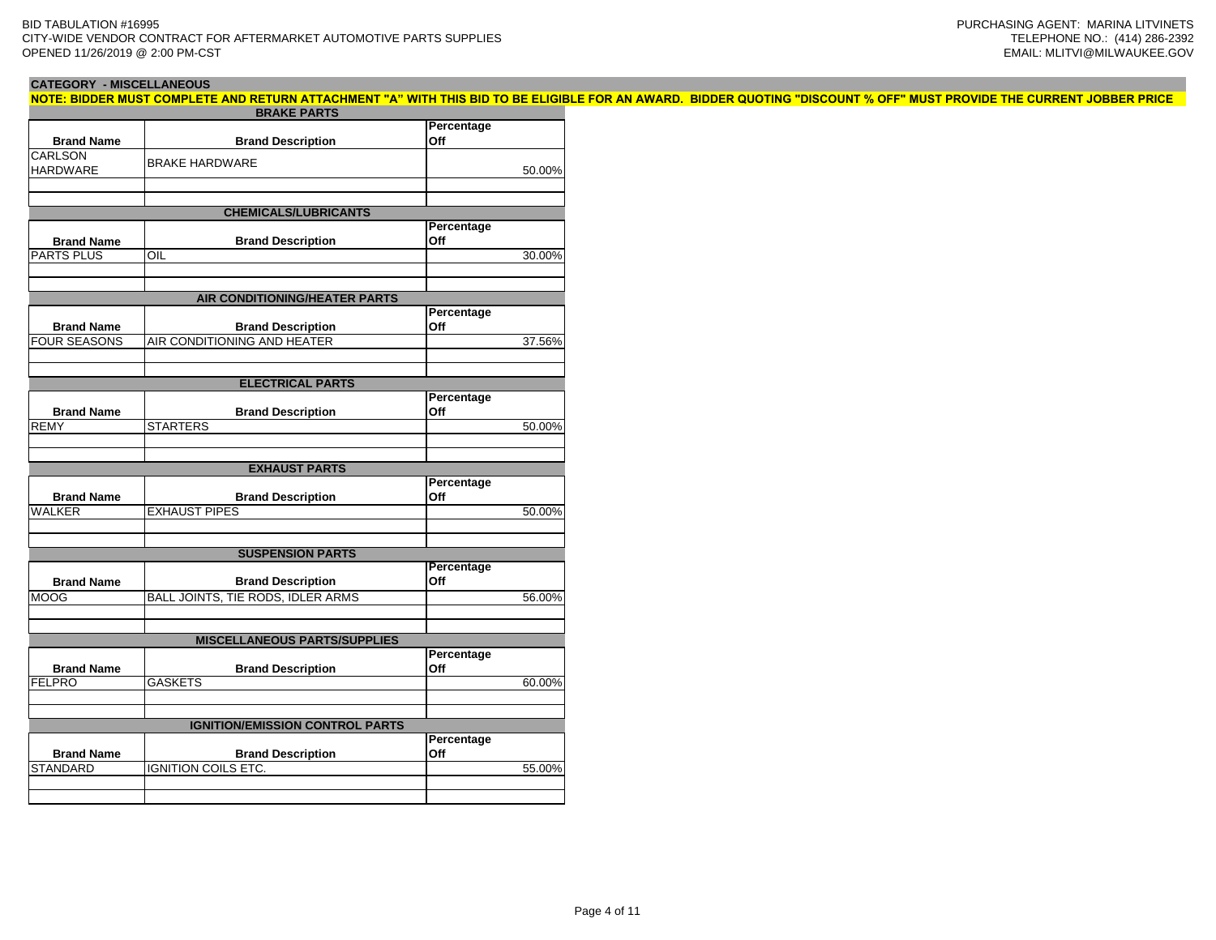# **CATEGORY - MISCELLANEOUS**

**NOTE: BIDDER MUST COMPLETE AND RETURN ATTACHMENT "A" WITH THIS BID TO BE ELIGIBLE FOR AN AWARD. BIDDER QUOTING "DISCOUNT % OFF" MUST PROVIDE THE CURRENT JOBBER PRICE** 

|                     | <b>BRAKE PARTS</b>                     |                   |        |
|---------------------|----------------------------------------|-------------------|--------|
| <b>Brand Name</b>   | <b>Brand Description</b>               | Percentage<br>Off |        |
| CARLSON             |                                        |                   |        |
| <b>HARDWARE</b>     | <b>BRAKE HARDWARE</b>                  |                   | 50.00% |
|                     |                                        |                   |        |
|                     |                                        |                   |        |
|                     | <b>CHEMICALS/LUBRICANTS</b>            |                   |        |
|                     |                                        | Percentage        |        |
| <b>Brand Name</b>   | <b>Brand Description</b>               | Off               |        |
| PARTS PLUS          | $\overline{\overline{\text{OIL}}}$     |                   | 30.00% |
|                     |                                        |                   |        |
|                     | AIR CONDITIONING/HEATER PARTS          |                   |        |
|                     |                                        | Percentage        |        |
| <b>Brand Name</b>   | <b>Brand Description</b>               | Off               |        |
| <b>FOUR SEASONS</b> | AIR CONDITIONING AND HEATER            |                   | 37.56% |
|                     |                                        |                   |        |
|                     |                                        |                   |        |
|                     | <b>ELECTRICAL PARTS</b>                |                   |        |
|                     |                                        | Percentage        |        |
| <b>Brand Name</b>   | <b>Brand Description</b>               | Off               |        |
| <b>REMY</b>         | <b>STARTERS</b>                        |                   | 50.00% |
|                     |                                        |                   |        |
|                     | <b>EXHAUST PARTS</b>                   |                   |        |
|                     |                                        | Percentage        |        |
| <b>Brand Name</b>   | <b>Brand Description</b>               | Off               |        |
| <b>WALKER</b>       | <b>EXHAUST PIPES</b>                   |                   | 50.00% |
|                     |                                        |                   |        |
|                     |                                        |                   |        |
|                     | <b>SUSPENSION PARTS</b>                |                   |        |
|                     |                                        | <b>Percentage</b> |        |
| <b>Brand Name</b>   | <b>Brand Description</b>               | Off               |        |
| <b>MOOG</b>         | BALL JOINTS, TIE RODS, IDLER ARMS      |                   | 56.00% |
|                     |                                        |                   |        |
|                     | <b>MISCELLANEOUS PARTS/SUPPLIES</b>    |                   |        |
|                     |                                        | Percentage        |        |
| <b>Brand Name</b>   | <b>Brand Description</b>               | Off               |        |
| <b>FELPRO</b>       | <b>GASKETS</b>                         |                   | 60.00% |
|                     |                                        |                   |        |
|                     |                                        |                   |        |
|                     | <b>IGNITION/EMISSION CONTROL PARTS</b> | Percentage        |        |
| <b>Brand Name</b>   | <b>Brand Description</b>               | Off               |        |
| <b>STANDARD</b>     | <b>IGNITION COILS ETC.</b>             |                   | 55.00% |
|                     |                                        |                   |        |
|                     |                                        |                   |        |
|                     |                                        |                   |        |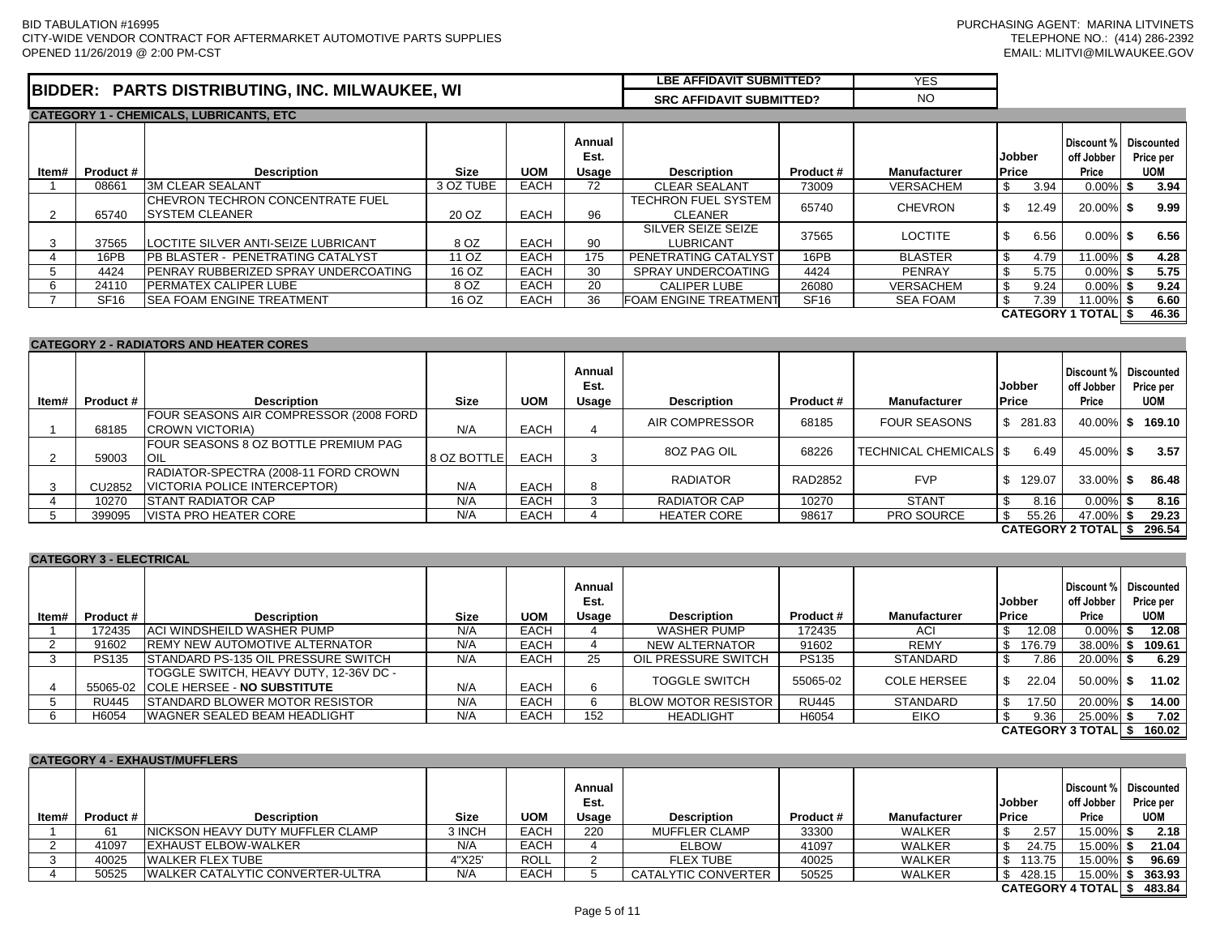|                      |                                                                                     | <b>SUBMITTED?</b><br><b>LBE AFFIDAVIT</b> | VE <sup></sup><br>ت ⊐ا |
|----------------------|-------------------------------------------------------------------------------------|-------------------------------------------|------------------------|
| <b>BIDDER</b><br>EN. | <b>INC</b><br><b>MILWAUKEE</b><br>. WI<br><b>TRIBUTING</b><br><b>DISTI</b><br>PARTS | SRC<br><b>SUBMITTED?</b><br>. AFFIDAVIT   | NC                     |

|       | <b>CATEGORY 1 - CHEMICALS, LUBRICANTS, ETC</b> |                                                                    |                                                                     |             |           |                                       |                               |                  |                                              |       |                           |  |       |
|-------|------------------------------------------------|--------------------------------------------------------------------|---------------------------------------------------------------------|-------------|-----------|---------------------------------------|-------------------------------|------------------|----------------------------------------------|-------|---------------------------|--|-------|
| ltem# | Product #                                      | <b>Description</b>                                                 | Annual<br>Est.<br><b>UOM</b><br><b>Description</b><br>Size<br>Usage |             | Product # | <b>Manufacturer</b>                   | <b>Jobber</b><br><b>Price</b> |                  | Discount % Discounted<br>off Jobber<br>Price |       | Price per<br><b>UOM</b>   |  |       |
|       | 08661                                          | <b>I3M CLEAR SEALANT</b>                                           | 3 OZ TUBE                                                           | <b>EACH</b> | 72        | <b>CLEAR SEALANT</b>                  | 73009                         | <b>VERSACHEM</b> |                                              | 3.94  | $0.00\%$ \$               |  | 3.94  |
|       | 65740                                          | <b>ICHEVRON TECHRON CONCENTRATE FUEL</b><br><b>ISYSTEM CLEANER</b> | 20 OZ                                                               | <b>EACH</b> | 96        | TECHRON FUEL SYSTEM<br><b>CLEANER</b> | 65740                         | <b>CHEVRON</b>   |                                              | 12.49 | 20.00% \$                 |  | 9.99  |
|       | 37565                                          | <b>LOCTITE SILVER ANTI-SEIZE LUBRICANT</b>                         | 8 OZ                                                                | <b>EACH</b> | 90        | SILVER SEIZE SEIZE<br>LUBRICANT       | 37565                         | <b>LOCTITE</b>   |                                              | 6.56  | $0.00\%$ \$               |  | 6.56  |
|       | 16PB                                           | <b>IPB BLASTER - PENETRATING CATALYST</b>                          | 11 OZ                                                               | <b>EACH</b> | 175       | <b>PENETRATING CATALYST</b>           | 16PB                          | <b>BLASTER</b>   | \$.                                          | 4.79  | 11.00% \$                 |  | 4.28  |
|       | 4424                                           | <b>IPENRAY RUBBERIZED SPRAY UNDERCOATING</b>                       | 16 OZ                                                               | <b>EACH</b> | 30        | SPRAY UNDERCOATING                    | 4424                          | <b>PENRAY</b>    | S                                            | 5.75  | $0.00\%$ \$               |  | 5.75  |
|       | 24110                                          | <b>IPERMATEX CALIPER LUBE</b>                                      | 8 OZ                                                                | <b>EACH</b> | 20        | <b>CALIPER LUBE</b>                   | 26080                         | <b>VERSACHEM</b> |                                              | 9.24  | $0.00\%$ \$               |  | 9.24  |
|       | SF <sub>16</sub>                               | <b>ISEA FOAM ENGINE TREATMENT</b>                                  | 16 OZ                                                               | EACH        | 36        | <b>FOAM ENGINE TREATMENT</b>          | SF <sub>16</sub>              | SEA FOAM         |                                              | 7.39  | $11.00\%$ \$              |  | 6.60  |
|       |                                                |                                                                    |                                                                     |             |           |                                       |                               |                  |                                              |       | <b>CATEGORY 1 TOTAL S</b> |  | 46.36 |

|       | <b>CATEGORY 2 - RADIATORS AND HEATER CORES</b> |                                                                      |             |             |                         |                     |           |                          |                               |                                              |  |                         |  |
|-------|------------------------------------------------|----------------------------------------------------------------------|-------------|-------------|-------------------------|---------------------|-----------|--------------------------|-------------------------------|----------------------------------------------|--|-------------------------|--|
| ltem# | <b>Product #</b>                               | <b>Description</b>                                                   | <b>Size</b> | <b>UOM</b>  | Annual<br>Est.<br>Usage | <b>Description</b>  | Product # | <b>Manufacturer</b>      | <b>Jobber</b><br><b>Price</b> | Discount % Discounted<br>off Jobber<br>Price |  | Price per<br><b>UOM</b> |  |
|       | 68185                                          | FOUR SEASONS AIR COMPRESSOR (2008 FORD<br><b>ICROWN VICTORIA)</b>    | N/A         | <b>EACH</b> |                         | AIR COMPRESSOR      | 68185     | <b>FOUR SEASONS</b>      | \$281.83                      | $40.00\%$ \$                                 |  | 169.10                  |  |
|       | 59003                                          | FOUR SEASONS 8 OZ BOTTLE PREMIUM PAG<br>IOIL                         | 8 OZ BOTTLE | <b>EACH</b> |                         | 80Z PAG OIL         | 68226     | TECHNICAL CHEMICALS   \$ | 6.49                          | 45.00% \$                                    |  | 3.57                    |  |
|       | CU2852                                         | RADIATOR-SPECTRA (2008-11 FORD CROWN<br>VICTORIA POLICE INTERCEPTOR) | N/A         | <b>EACH</b> | 8                       | <b>RADIATOR</b>     | RAD2852   | <b>FVP</b>               | \$<br>129.07                  | 33.00% \$                                    |  | 86.48                   |  |
|       | 10270                                          | <b>ISTANT RADIATOR CAP</b>                                           | N/A         | <b>EACH</b> |                         | <b>RADIATOR CAP</b> | 10270     | <b>STANT</b>             | 8.16                          | $0.00\%$ \$                                  |  | 8.16                    |  |
|       | 399095                                         | <b>VISTA PRO HEATER CORE</b>                                         | N/A         | <b>EACH</b> |                         | <b>HEATER CORE</b>  | 98617     | <b>PRO SOURCE</b>        | 55.26<br>£.                   | 47.00% \$                                    |  | 29.23                   |  |
|       |                                                |                                                                      |             |             |                         |                     |           |                          | <b>CATEGORY 2 TOTALI \$</b>   |                                              |  | 296.54                  |  |

|       | <b>CATEGORY 3 - ELECTRICAL</b> |                                             |             |             |                         |                            |              |                     |                        |                             |                                                  |
|-------|--------------------------------|---------------------------------------------|-------------|-------------|-------------------------|----------------------------|--------------|---------------------|------------------------|-----------------------------|--------------------------------------------------|
| ltem# | Product #                      | <b>Description</b>                          | <b>Size</b> | <b>UOM</b>  | Annual<br>Est.<br>Usage | <b>Description</b>         | Product #    | <b>Manufacturer</b> | <b>Jobber</b><br>Price | off Jobber<br>Price         | Discount % Discounted<br>Price per<br><b>UOM</b> |
|       | 172435                         | <b>ACI WINDSHEILD WASHER PUMP</b>           | N/A         | <b>EACH</b> |                         | <b>WASHER PUMP</b>         | 172435       | ACI                 | 12.08 <sub>1</sub>     | $0.00\%$ \$                 | 12.08                                            |
|       | 91602                          | <b>IREMY NEW AUTOMOTIVE ALTERNATOR</b>      | N/A         | <b>EACH</b> |                         | NEW ALTERNATOR             | 91602        | <b>REMY</b>         | -S<br>176.79           | 38.00%                      | 109.61                                           |
|       | <b>PS135</b>                   | <b>ISTANDARD PS-135 OIL PRESSURE SWITCH</b> | N/A         | <b>EACH</b> | 25                      | OIL PRESSURE SWITCH        | <b>PS135</b> | <b>STANDARD</b>     | 7.86<br>\$             | 20.00%                      | 6.29                                             |
|       |                                | TOGGLE SWITCH, HEAVY DUTY, 12-36V DC -      |             |             |                         | <b>TOGGLE SWITCH</b>       | 55065-02     | <b>COLE HERSEE</b>  | 22.04                  | $50.00\%$ \$                | 11.02                                            |
|       |                                | 55065-02 COLE HERSEE - NO SUBSTITUTE        | N/A         | <b>EACH</b> | 6                       |                            |              |                     |                        |                             |                                                  |
|       | RU445                          | <b>ISTANDARD BLOWER MOTOR RESISTOR</b>      | N/A         | <b>EACH</b> |                         | <b>BLOW MOTOR RESISTOR</b> | <b>RU445</b> | <b>STANDARD</b>     | \$<br>17.50            | 20.00%                      | 14.00                                            |
|       | H6054                          | <b>IWAGNER SEALED BEAM HEADLIGHT</b>        | N/A         | <b>EACH</b> | 152                     | <b>HEADLIGHT</b>           | H6054        | <b>EIKO</b>         | 9.36                   | 25.00% \$                   | 7.02                                             |
|       |                                |                                             |             |             |                         |                            |              |                     |                        | <b>CATEGORY 3 TOTALI \$</b> | 160.02                                           |

|       | <b>CATEGORY 4 - EXHAUST/MUFFLERS</b> |                                          |             |             |                         |                            |           |                     |                         |                     |                                                  |  |  |  |
|-------|--------------------------------------|------------------------------------------|-------------|-------------|-------------------------|----------------------------|-----------|---------------------|-------------------------|---------------------|--------------------------------------------------|--|--|--|
| ltem# | Product #                            | <b>Description</b>                       | <b>Size</b> | <b>UOM</b>  | Annual<br>Est.<br>Usage | <b>Description</b>         | Product # | <b>Manufacturer</b> | Jobber<br><b>Price</b>  | off Jobber<br>Price | Discount % Discounted<br>Price per<br><b>UOM</b> |  |  |  |
|       | 61                                   | <b>INICKSON HEAVY DUTY MUFFLER CLAMP</b> | 3 INCH      | <b>EACH</b> | 220                     | <b>MUFFLER CLAMP</b>       | 33300     | <b>WALKER</b>       | 2.57                    | 15.00% \$           | 2.18                                             |  |  |  |
|       | 41097                                | <b>EXHAUST ELBOW-WALKER</b>              | N/A         | <b>EACH</b> |                         | <b>ELBOW</b>               | 41097     | <b>WALKER</b>       | 24.75                   | 15.00% \$           | 21.04                                            |  |  |  |
|       | 40025                                | <b>WALKER FLEX TUBE</b>                  | 4"X25'      | <b>ROLL</b> |                         | <b>FLEX TUBE</b>           | 40025     | <b>WALKER</b>       | 113.75                  | $15.00\%$ \$        | 96.69                                            |  |  |  |
|       | 50525                                | IWALKER CATALYTIC CONVERTER-ULTRA        | N/A         | <b>EACH</b> |                         | <b>CATALYTIC CONVERTER</b> | 50525     | <b>WALKER</b>       | 428.15                  | 15.00%              | 363.93                                           |  |  |  |
|       |                                      |                                          |             |             |                         |                            |           |                     | <b>CATEGORY 4 TOTAL</b> |                     | 483.84                                           |  |  |  |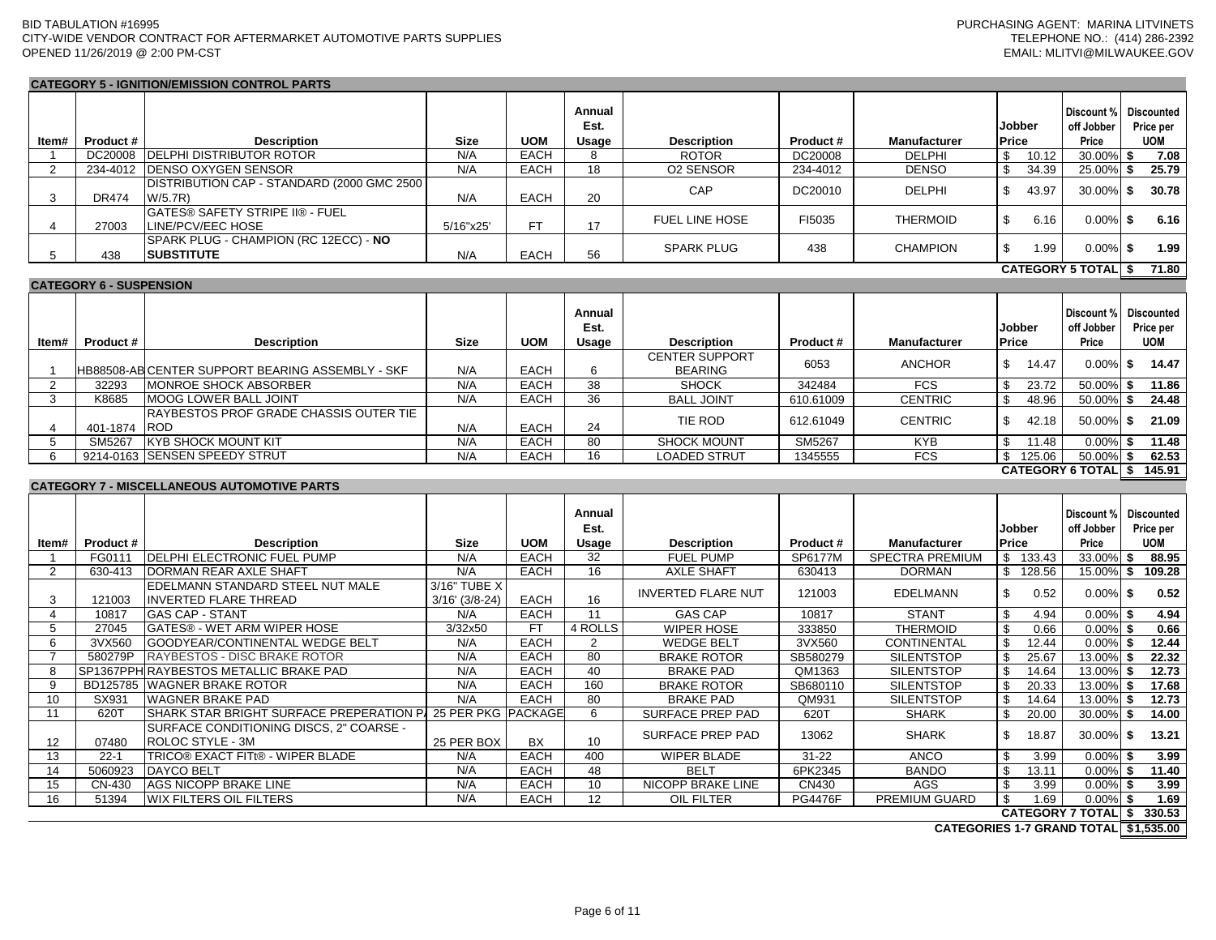**CATEGORY 5 - IGNITION/EMISSION CONTROL PARTS**

#### **Item# Product # Description Size UOM Annual Est. Usage Description Product # Manufacturer Jobber Price Discount % off Jobber Price Discounted Price per UOM** 1 DC20008 DELPHI DISTRIBUTOR ROTOR N/A EACH 8 ROTOR DC20008 DELPHI \$ 10.12 30.00% **\$ 7.08** 2 234-4012 DENSO OXYGEN SENSOR N/A EACH 18 O2 SENSOR 234-4012 DENSO \$ 34.39 25.00% **\$ 25.79** 3 DR474 DISTRIBUTION CAP - STANDARD (2000 GMC 2500 W/5.7R) N/A EACH <sup>20</sup> CAP DC20010 DELPHI \$ 43.97 30.00% **\$ 30.78** 4 27003 GATES® SAFETY STRIPE II® - FUEL LINE/PCV/EEC HOSE 5/16"x25' FT <sup>17</sup> FUEL LINE HOSE FI5035 THERMOID \$ 6.16 0.00% **\$ 6.16** 5 438 SPARK PLUG - CHAMPION (RC 12ECC) - **NO SUBSTITUTE** N/A EACH <sup>56</sup> SPARK PLUG <sup>438</sup> CHAMPION \$ 1.99 0.00% **\$ 1.99 \$ 71.80 Item# Product # Description Size UOM Annual Est. Usage Description Product # Manufacturer Jobber Price Discount % off Jobber Price Discounted Price per UOM** 1 HB88508-AB CENTER SUPPORT BEARING ASSEMBLY - SKF N/A FEACH 6 CENTER SUPPORT BEARING <sup>6053</sup> ANCHOR \$ 14.47 0.00% **\$ 14.47** 2 32293 MONROE SHOCK ABSORBER N/A EACH 38 SHOCK 342484 FCS \$ 23.72 50.00% **\$ 11.86** 3 K8685 MOOG LOWER BALL JOINT N/A EACH 36 BALL JOINT 610.61009 CENTRIC \$ 48.96 50.00% **\$ 24.48** 4 401-1874 RAYBESTOS PROF GRADE CHASSIS OUTER TIE ROD N/A EACH <sup>24</sup> TIE ROD 612.61049 CENTRIC \$ 42.18 50.00% **\$ 21.09** 5 SM5267 KYB SHOCK MOUNT KIT | N/A | EACH | 80 | SHOCK MOUNT | SM5267 | KYB | \$ 11.48 | 0.00%| **\$ 11.48** 6 9214-0163 SENSEN SPEEDY STRUT N/A EACH 16 LOADED STRUT 1345555 FCS \$ 125.06 50.00% **\$ 62.53 \$ 145.91 CATEGORY 6 TOTAL Item# Product # Description Size Bush Size UOM Annual Est. Usage Description Product # Manufacturer Jobber Price Discount % off Jobber Price Discounted Price per UOM** 1 FG0111 DELPHI ELECTRONIC FUEL PUMP N/A EACH 32 FUEL PUMP SP6177M SPECTRA PREMIUM \$ 133.43 33.00% **\$ 88.95** 2 630-413 DORMAN REAR AXLE SHAFT N/A EACH 16 AXLE SHAFT 630413 DORMAN \$ 128.56 15.00% **\$ 109.28** 3 121003 EDELMANN STANDARD STEEL NUT MALE INVERTED FLARE THREAD 3/16" TUBE X 3/16' (3/8-24) EACH <sup>16</sup> INVERTED FLARE NUT <sup>121003</sup> EDELMANN \$ 0.52 0.00% **\$ 0.52** 4 10817 GAS CAP - STANT N/A EACH 11 GAS CAP 10817 STANT \$ 4.94 0.00% **\$ 4.94** 5 27045 GATES® - WET ARM WIPER HOSE 3/32x50 FT 4 ROLLS WIPER HOSE 333850 THERMOID \$ 0.66 0.00% **\$ 0.66** 6 3VX560 GOODYEAR/CONTINENTAL WEDGE BELT N/A EACH 2 WEDGE BELT 3VX560 CONTINENTAL \$ 12.44 0.00% **\$ 12.44** 7 580279P RAYBESTOS - DISC BRAKE ROTOR N/A EACH 80 BRAKE ROTOR SB580279 SILENTSTOP \$ 25.67 13.00% **\$ 22.32** 8 SP1367PPH RAYBESTOS METALLIC BRAKE PAD N/A EACH 40 BRAKE PAD QM1363 SILENTSTOP \$ 14.64 13.00% **\$ 12.73** 9 BD125785 WAGNER BRAKE ROTOR N/A EACH 160 BRAKE ROTOR SB680110 SILENTSTOP \$ 20.33 13.00% **\$ 17.68** 10 SX931 WAGNER BRAKE PAD N/A | EACH | 80 | BRAKE PAD | QM931 | SILENTSTOP |\$ 14.64 | 13.00%| **\$ 12.73** 11 620T SHARK STAR BRIGHT SURFACE PREPERATION PA 25 PER PKG PACKAGE 6 SURFACE PREP PAD 620T SHARK 5 20.00 30.00% **\$ 14.00** 12 07480 SURFACE CONDITIONING DISCS, 2" COARSE - ROLOC STYLE - 3M 20.00%, 2007 AND 25 PER BOX 25 PAR 25 PAD 3000 SURFACE PREP PAD 20062 2008 SHARK 30.00% \$ 13.21<br>ROLOC STYLE - 3M 13 22-1 TRICO® EXACT FITt® - WIPER BLADE N/A EACH 400 WIPER BLADE 31-22 ANCO \$ 3.99 0.00% **\$ 3.99** 14 5060923 DAYCO BELT N/A EACH 48 BELT 6PK2345 BANDO \$ 13.11 0.00% **\$ 11.40** 15 CN-430 AGS NICOPP BRAKE LINE N/A EACH 10 NICOPP BRAKE LINE CN430 AGS \$ 3.99 0.00% **\$ 3.99** 16 51394 WIX FILTERS OIL FILTERS N/A EACH 12 OIL FILTER PG4476F PREMIUM GUARD \$ 1.69 0.00% **\$ 1.69 \$ 330.53 CATEGORY 5 TOTAL CATEGORY 6 - SUSPENSION CATEGORY 7 - MISCELLANEOUS AUTOMOTIVE PARTS**

**CATEGORY 7 TOTAL**

**\$1,535.00 CATEGORIES 1-7 GRAND TOTAL**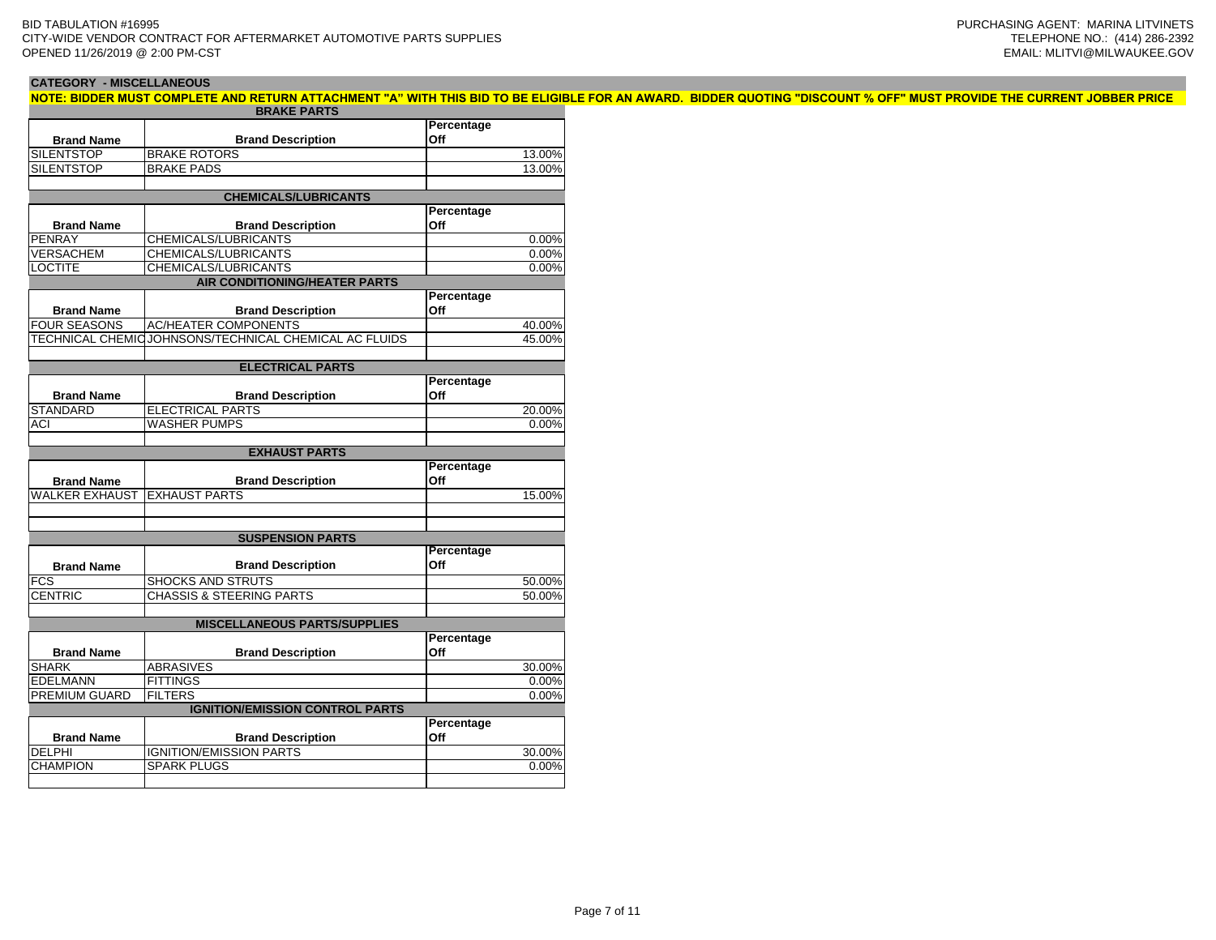| <b>CATEGORY - MISCELLANEOUS</b> |                                                                                                                                                                       |            |
|---------------------------------|-----------------------------------------------------------------------------------------------------------------------------------------------------------------------|------------|
|                                 | NOTE: BIDDER MUST COMPLETE AND RETURN ATTACHMENT "A" WITH THIS BID TO BE ELIGIBLE FOR AN AWARD. BIDDER QUOTING "DISCOUNT % OFF" MUST PROVIDE THE CURRENT JOBBER PRICE |            |
|                                 | <b>BRAKE PARTS</b>                                                                                                                                                    |            |
|                                 |                                                                                                                                                                       | Percentage |
| <b>Brand Name</b>               | <b>Brand Description</b>                                                                                                                                              | <b>Off</b> |
| <b>SILENTSTOP</b>               | <b>IBRAKE ROTORS</b>                                                                                                                                                  | 13.00%     |
| <b>SILENTSTOP</b>               | <b>BRAKE PADS</b>                                                                                                                                                     | 13.00%     |
|                                 |                                                                                                                                                                       |            |
|                                 | <b>CHEMICALS/LUBRICANTS</b>                                                                                                                                           |            |
|                                 |                                                                                                                                                                       | Percentage |
| <b>Brand Name</b>               | <b>Brand Description</b>                                                                                                                                              | <b>Off</b> |
| PENRAY                          | CHEMICALS/LUBRICANTS                                                                                                                                                  | 0.00%      |
| <b>VERSACHEM</b>                | CHEMICALS/LUBRICANTS                                                                                                                                                  | 0.00%      |
| <b>LOCTITE</b>                  | CHEMICALS/LUBRICANTS                                                                                                                                                  | 0.00%      |
|                                 |                                                                                                                                                                       |            |

|                       | <b>AIR CONDITIONING/HEATER PARTS</b>                  |            |        |  |  |  |  |  |  |  |  |  |
|-----------------------|-------------------------------------------------------|------------|--------|--|--|--|--|--|--|--|--|--|
|                       |                                                       | Percentage |        |  |  |  |  |  |  |  |  |  |
| <b>Brand Name</b>     | <b>Brand Description</b>                              | Off        |        |  |  |  |  |  |  |  |  |  |
| <b>FOUR SEASONS</b>   | <b>AC/HEATER COMPONENTS</b>                           |            | 40.00% |  |  |  |  |  |  |  |  |  |
|                       | TECHNICAL CHEMICJOHNSONS/TECHNICAL CHEMICAL AC FLUIDS |            | 45.00% |  |  |  |  |  |  |  |  |  |
|                       |                                                       |            |        |  |  |  |  |  |  |  |  |  |
|                       | <b>ELECTRICAL PARTS</b>                               |            |        |  |  |  |  |  |  |  |  |  |
|                       |                                                       | Percentage |        |  |  |  |  |  |  |  |  |  |
| <b>Brand Name</b>     | <b>Brand Description</b>                              | Off        |        |  |  |  |  |  |  |  |  |  |
| <b>STANDARD</b>       | <b>ELECTRICAL PARTS</b>                               |            | 20.00% |  |  |  |  |  |  |  |  |  |
| ACI                   | <b>WASHER PUMPS</b>                                   |            | 0.00%  |  |  |  |  |  |  |  |  |  |
|                       |                                                       |            |        |  |  |  |  |  |  |  |  |  |
|                       | <b>EXHAUST PARTS</b>                                  |            |        |  |  |  |  |  |  |  |  |  |
|                       |                                                       | Percentage |        |  |  |  |  |  |  |  |  |  |
| <b>Brand Name</b>     | <b>Brand Description</b>                              | Off        |        |  |  |  |  |  |  |  |  |  |
| <b>WALKER EXHAUST</b> | <b>EXHAUST PARTS</b>                                  |            | 15.00% |  |  |  |  |  |  |  |  |  |
|                       |                                                       |            |        |  |  |  |  |  |  |  |  |  |
|                       |                                                       |            |        |  |  |  |  |  |  |  |  |  |
|                       | <b>SUSPENSION PARTS</b>                               |            |        |  |  |  |  |  |  |  |  |  |
|                       |                                                       | Percentage |        |  |  |  |  |  |  |  |  |  |
| <b>Brand Name</b>     | <b>Brand Description</b>                              | Off        |        |  |  |  |  |  |  |  |  |  |
| <b>FCS</b>            | <b>SHOCKS AND STRUTS</b>                              |            | 50.00% |  |  |  |  |  |  |  |  |  |
| <b>CENTRIC</b>        | CHASSIS & STEERING PARTS                              |            | 50.00% |  |  |  |  |  |  |  |  |  |
|                       |                                                       |            |        |  |  |  |  |  |  |  |  |  |

| <b>MISCELLANEOUS PARTS/SUPPLIES</b> |                                        |            |  |  |  |  |  |  |  |  |  |
|-------------------------------------|----------------------------------------|------------|--|--|--|--|--|--|--|--|--|
|                                     |                                        | Percentage |  |  |  |  |  |  |  |  |  |
| <b>Brand Name</b>                   | <b>Brand Description</b>               | Off        |  |  |  |  |  |  |  |  |  |
| <b>SHARK</b>                        | <b>ABRASIVES</b>                       | 30.00%     |  |  |  |  |  |  |  |  |  |
| <b>EDELMANN</b>                     | <b>FITTINGS</b>                        | 0.00%      |  |  |  |  |  |  |  |  |  |
| <b>PREMIUM GUARD</b>                | <b>FILTERS</b>                         | 0.00%      |  |  |  |  |  |  |  |  |  |
|                                     | <b>IGNITION/EMISSION CONTROL PARTS</b> |            |  |  |  |  |  |  |  |  |  |
|                                     |                                        | Percentage |  |  |  |  |  |  |  |  |  |
|                                     |                                        |            |  |  |  |  |  |  |  |  |  |
| <b>Brand Name</b>                   | <b>Brand Description</b>               | Off        |  |  |  |  |  |  |  |  |  |
| <b>DELPHI</b>                       | <b>IGNITION/EMISSION PARTS</b>         | 30.00%     |  |  |  |  |  |  |  |  |  |
| <b>CHAMPION</b>                     | <b>SPARK PLUGS</b>                     | 0.00%      |  |  |  |  |  |  |  |  |  |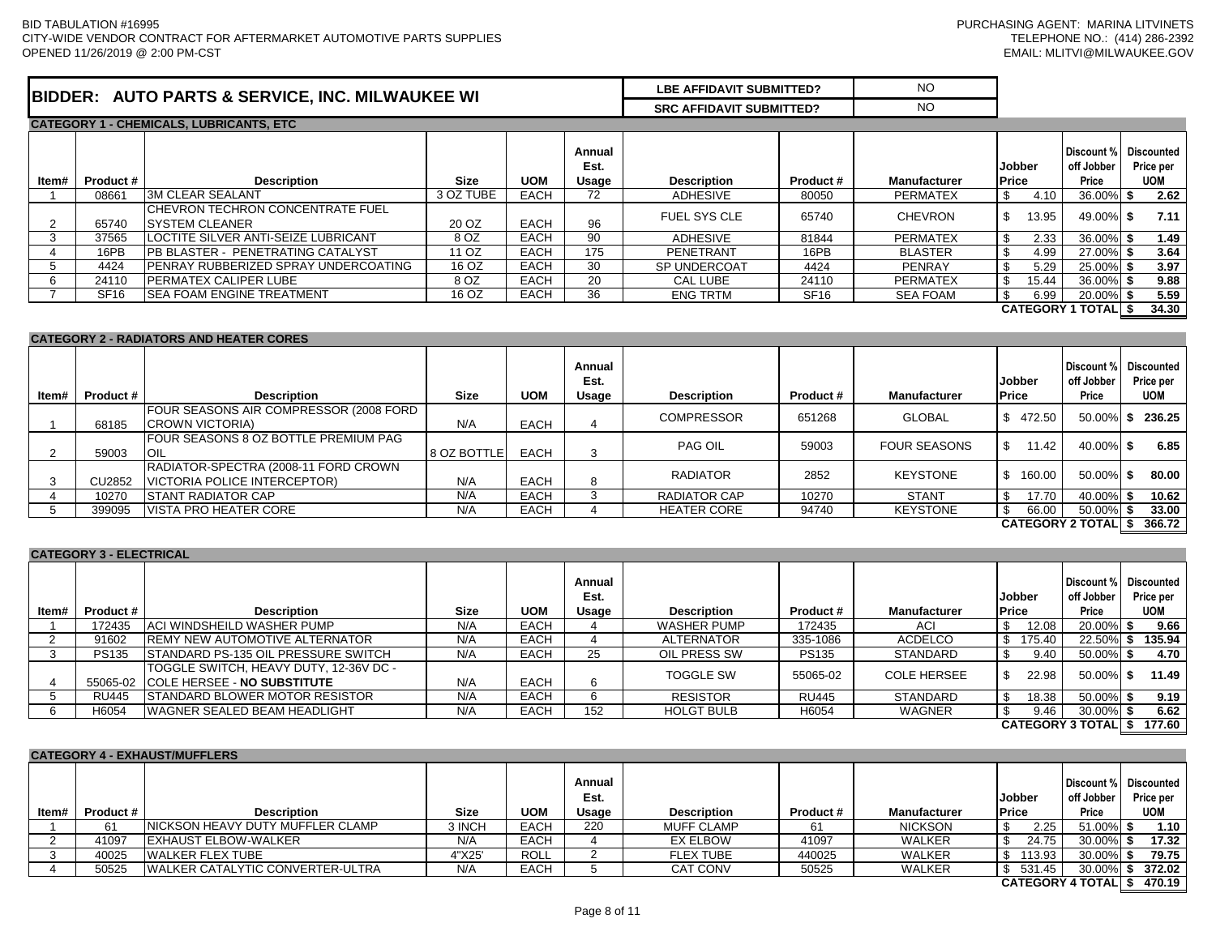| <b>BIDDER:</b><br><b>AUTO PARTS &amp; SERVICE, INC. MILWAUKEE WI</b> | LBE AFFIDAVIT SUBMITTED?        | N <sub>C</sub> |
|----------------------------------------------------------------------|---------------------------------|----------------|
|                                                                      | <b>SRC AFFIDAVIT SUBMITTED?</b> | N <sub>C</sub> |
| <b>CATEGORY 1 - CHEMICALS, LUBRICANTS, ETC.</b>                      |                                 |                |

| ltem# | Product #   | <b>Description</b>                                          | <b>Size</b> | <b>UOM</b>  | Annual<br>Est.<br>Usage | <b>Description</b>  | Product #   | <b>Manufacturer</b> | <b>Jobber</b><br><b>Price</b> | Discount %<br>off Jobber<br>Price | <b>Discounted</b><br>Price per<br><b>UOM</b> |
|-------|-------------|-------------------------------------------------------------|-------------|-------------|-------------------------|---------------------|-------------|---------------------|-------------------------------|-----------------------------------|----------------------------------------------|
|       | 08661       | <b>3M CLEAR SEALANT</b>                                     | 3 OZ TUBE   | <b>EACH</b> | 72                      | ADHESIVE            | 80050       | <b>PERMATEX</b>     |                               | 36.00%<br>4.10                    | 2.62                                         |
|       | 65740       | <b>ICHEVRON TECHRON CONCENTRATE FUEL</b><br>ISYSTEM CLEANER | 20 OZ       | <b>EACH</b> | 96                      | <b>FUEL SYS CLE</b> | 65740       | <b>CHEVRON</b>      |                               | 49.00% \$<br>13.95                | 7.11                                         |
|       | 37565       | LOCTITE SILVER ANTI-SEIZE LUBRICANT                         | 8 OZ        | <b>EACH</b> | 90                      | <b>ADHESIVE</b>     | 81844       | <b>PERMATEX</b>     |                               | $36.00\%$ \$<br>2.33              | 1.49                                         |
|       | 16PB        | <b>IPB BLASTER - PENETRATING CATALYST</b>                   | 11 OZ       | EACH        | 175                     | PENETRANT           | 16PB        | <b>BLASTER</b>      |                               | 27.00% \$<br>4.99                 | 3.64                                         |
|       | 4424        | PENRAY RUBBERIZED SPRAY UNDERCOATING                        | 16 OZ       | <b>EACH</b> | 30                      | SP UNDERCOAT        | 4424        | <b>PENRAY</b>       |                               | 25.00%<br>5.29                    | 3.97                                         |
|       | 24110       | <b>IPERMATEX CALIPER LUBE</b>                               | 8 OZ        | <b>EACH</b> | 20                      | CAL LUBE            | 24110       | <b>PERMATEX</b>     |                               | 15.44<br>36.00%                   | 9.88                                         |
|       | <b>SF16</b> | ISEA FOAM ENGINE TREATMENT                                  | 16 OZ       | <b>EACH</b> | 36                      | <b>ENG TRTM</b>     | <b>SF16</b> | <b>SEA FOAM</b>     |                               | 20.00%<br>6.99                    | 5.59                                         |
|       |             |                                                             |             |             |                         |                     |             |                     |                               | <b>CATEGORY 1 TOTALI</b>          | 34.30                                        |

#### **CATEGORY 2 - RADIATORS AND HEATER CORES**

| ltem# | Product # | <b>Description</b>                                                   | <b>Size</b> | <b>UOM</b>  | Annual<br>Est.<br>Usage | <b>Description</b> | Product # | <b>Manufacturer</b> | Jobber<br><b>Price</b>   | off Jobber<br>Price | Discount % Discounted<br>Price per<br><b>UOM</b> |
|-------|-----------|----------------------------------------------------------------------|-------------|-------------|-------------------------|--------------------|-----------|---------------------|--------------------------|---------------------|--------------------------------------------------|
|       | 68185     | FOUR SEASONS AIR COMPRESSOR (2008 FORD<br>CROWN VICTORIA)            | N/A         | <b>EACH</b> |                         | <b>COMPRESSOR</b>  | 651268    | <b>GLOBAL</b>       | 472.50                   | 50.00%              | 236.25                                           |
|       | 59003     | FOUR SEASONS 8 OZ BOTTLE PREMIUM PAG<br><b>OIL</b>                   | 8 OZ BOTTLE | <b>EACH</b> | 3                       | PAG OIL            | 59003     | <b>FOUR SEASONS</b> | 11.42                    | 40.00% \$           | 6.85                                             |
|       | CU2852    | RADIATOR-SPECTRA (2008-11 FORD CROWN<br>VICTORIA POLICE INTERCEPTOR) | N/A         | <b>EACH</b> | Õ                       | <b>RADIATOR</b>    | 2852      | <b>KEYSTONE</b>     | 160.00                   | 50.00% \$           | 80.00                                            |
|       | 10270     | ISTANT RADIATOR CAP                                                  | N/A         | <b>EACH</b> |                         | RADIATOR CAP       | 10270     | <b>STANT</b>        | 17.70                    | 40.00%              | 10.62                                            |
|       | 399095    | <b>VISTA PRO HEATER CORE</b>                                         | N/A         | EACH        |                         | <b>HEATER CORE</b> | 94740     | <b>KEYSTONE</b>     | 66.00                    | 50.00%              | 33.00                                            |
|       |           |                                                                      |             |             |                         |                    |           |                     | <b>CATEGORY 2 TOTALI</b> |                     | 366.72                                           |

#### **CATEGORY 3 - ELECTRICAL**

| ltem# | <b>Product #</b> | <b>Description</b>                                                              | <b>Size</b> | <b>UOM</b>  | Annual<br>Est.<br>Usage | <b>Description</b> | Product #    | <b>Manufacturer</b> | <b>Jobber</b><br><b>Price</b> | off Jobber<br>Price      | Discount % Discounted<br>Price per<br>UOM |
|-------|------------------|---------------------------------------------------------------------------------|-------------|-------------|-------------------------|--------------------|--------------|---------------------|-------------------------------|--------------------------|-------------------------------------------|
|       | 172435           | <b>ACI WINDSHEILD WASHER PUMP</b>                                               | N/A         | <b>EACH</b> |                         | <b>WASHER PUMP</b> | 172435       | ACI                 | 12.08                         | 20.00%                   | 9.66                                      |
|       | 91602            | <b>IREMY NEW AUTOMOTIVE ALTERNATOR</b>                                          | N/A         | <b>EACH</b> |                         | <b>ALTERNATOR</b>  | 335-1086     | ACDELCO             | 175.40<br>S.                  | 22.50%                   | 135.94                                    |
|       | <b>PS135</b>     | <b>STANDARD PS-135 OIL PRESSURE SWITCH</b>                                      | N/A         | <b>EACH</b> | 25                      | OIL PRESS SW       | <b>PS135</b> | <b>STANDARD</b>     | 9.40<br>- 35                  | $50.00\%$ \$             | 4.70                                      |
|       |                  | ITOGGLE SWITCH, HEAVY DUTY, 12-36V DC -<br>55065-02 COLE HERSEE - NO SUBSTITUTE | N/A         | <b>EACH</b> | 6                       | TOGGLE SW          | 55065-02     | <b>COLE HERSEE</b>  | 22.98                         | $50.00\%$ \$             | 11.49                                     |
|       | RU445            | <b>ISTANDARD BLOWER MOTOR RESISTOR</b>                                          | N/A         | <b>EACH</b> |                         | <b>RESISTOR</b>    | <b>RU445</b> | <b>STANDARD</b>     | 18.38<br>- 35                 | $50.00\%$ \$             | 9.19                                      |
|       | H6054            | <b>IWAGNER SEALED BEAM HEADLIGHT</b>                                            | N/A         | <b>EACH</b> | 152                     | <b>HOLGT BULB</b>  | H6054        | <b>WAGNER</b>       | 9.46                          | 30.00%                   | 6.62                                      |
|       |                  |                                                                                 |             |             |                         |                    |              |                     |                               | <b>CATEGORY 3 TOTALI</b> | 177.60                                    |

|       | <b>CATEGORY 4 - EXHAUST/MUFFLERS</b> |                                          |             |             |                         |                    |          |                     |                        |                                   |                                              |  |  |  |
|-------|--------------------------------------|------------------------------------------|-------------|-------------|-------------------------|--------------------|----------|---------------------|------------------------|-----------------------------------|----------------------------------------------|--|--|--|
| ltem# | Product #                            | <b>Description</b>                       | <b>Size</b> | <b>UOM</b>  | Annual<br>Est.<br>Usage | <b>Description</b> | Product# | <b>Manufacturer</b> | Jobber<br><b>Price</b> | Discount %<br>off Jobber<br>Price | <b>Discounted</b><br>Price per<br><b>UOM</b> |  |  |  |
|       | 61                                   | <b>NICKSON HEAVY DUTY MUFFLER CLAMP</b>  | 3 INCH      | <b>EACH</b> | 220                     | <b>MUFF CLAMP</b>  |          | <b>NICKSON</b>      | 2.25                   | $51.00\%$ \$                      | 1.10                                         |  |  |  |
|       | 41097                                | <b>EXHAUST ELBOW-WALKER</b>              | N/A         | EACH        |                         | <b>EX ELBOW</b>    | 41097    | <b>WALKER</b>       | 24.75                  | 30.00%                            | 17.32                                        |  |  |  |
|       | 40025                                | <b>WALKER FLEX TUBE</b>                  | 4"X25'      | <b>ROLL</b> |                         | <b>FLEX TUBE</b>   | 440025   | <b>WALKER</b>       | 113.93                 | 30.00%                            | 79.75                                        |  |  |  |
|       | 50525                                | <b>IWALKER CATALYTIC CONVERTER-ULTRA</b> | N/A         | EACH        |                         | <b>CAT CONV</b>    | 50525    | <b>WALKER</b>       | \$531.45               | 30.00%                            | 372.02                                       |  |  |  |
|       |                                      |                                          |             |             |                         |                    |          |                     |                        | <b>CATEGORY 4 TOTAL</b>           | 470.19                                       |  |  |  |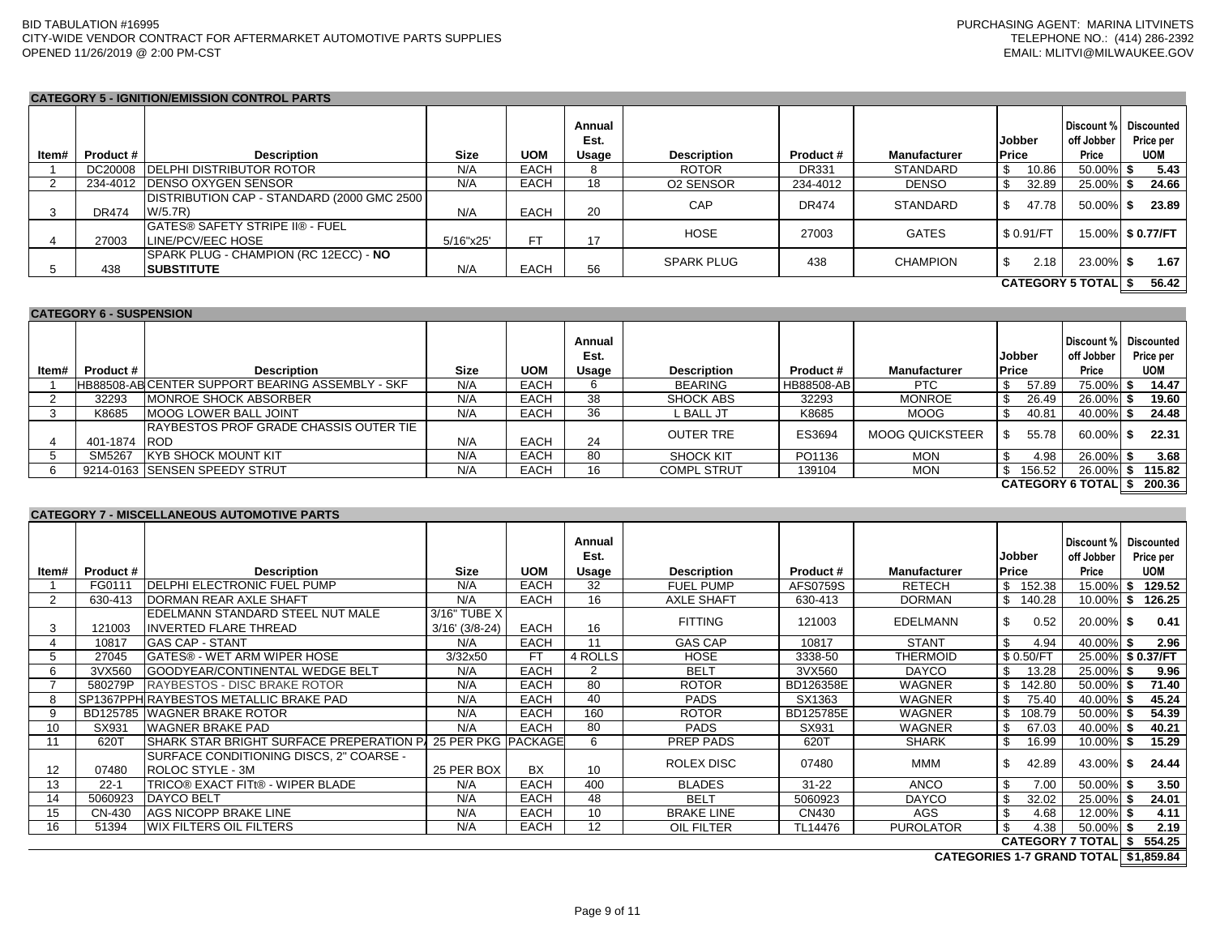## **CATEGORY 5 - IGNITION/EMISSION CONTROL PARTS**

| ltem# | Product #    | <b>Description</b>                                                   | <b>Size</b> | <b>UOM</b>  | Annual<br>Est.<br>Usage | <b>Description</b> | Product #    | <b>Manufacturer</b> | <b>Jobber</b><br>Price  | off Jobber<br>Price | Discount % Discounted<br>Price per<br><b>UOM</b> |
|-------|--------------|----------------------------------------------------------------------|-------------|-------------|-------------------------|--------------------|--------------|---------------------|-------------------------|---------------------|--------------------------------------------------|
|       |              | DC20008 DELPHI DISTRIBUTOR ROTOR                                     | N/A         | <b>EACH</b> |                         | <b>ROTOR</b>       | <b>DR331</b> | STANDARD            | 10.86<br>\$             | 50.00% \$           | 5.43                                             |
|       |              | 234-4012 IDENSO OXYGEN SENSOR                                        | N/A         | <b>EACH</b> | 18                      | <b>O2 SENSOR</b>   | 234-4012     | <b>DENSO</b>        | 32.89                   | 25.00% \$           | 24.66                                            |
|       | <b>DR474</b> | DISTRIBUTION CAP - STANDARD (2000 GMC 2500)<br>W/5.7R)               | N/A         | <b>EACH</b> | 20                      | CAP                | <b>DR474</b> | <b>STANDARD</b>     | \$.<br>47.78            | $50.00\%$ \$        | 23.89                                            |
|       | 27003        | <b>IGATES® SAFETY STRIPE II® - FUEL</b><br><b>ILINE/PCV/EEC HOSE</b> | 5/16"x25'   | <b>FT</b>   | 17                      | HOSE               | 27003        | <b>GATES</b>        | \$ 0.91/FT              |                     | 15.00% \$ 0.77/FT                                |
|       | 438          | SPARK PLUG - CHAMPION (RC 12ECC) - NO<br><b>ISUBSTITUTE</b>          | N/A         | <b>EACH</b> | 56                      | <b>SPARK PLUG</b>  | 438          | <b>CHAMPION</b>     | 2.18                    | 23.00% \$           | 1.67                                             |
|       |              |                                                                      |             |             |                         |                    |              |                     | <b>CATEGORY 5 TOTAL</b> |                     | 56.42                                            |

### **CATEGORY 6 - SUSPENSION**

| ltem# | Product #    | <b>Description</b>                                      | <b>Size</b> | <b>UOM</b>  | Annual<br>Est.<br>Usage | <b>Description</b> | Product#   | <b>Manufacturer</b>    | <b>Price</b> | <b>Jobber</b> | Discount % Discounted<br>off Jobber<br>Price | Price per<br><b>UOM</b> |
|-------|--------------|---------------------------------------------------------|-------------|-------------|-------------------------|--------------------|------------|------------------------|--------------|---------------|----------------------------------------------|-------------------------|
|       |              | <b>HB88508-ABICENTER SUPPORT BEARING ASSEMBLY - SKF</b> | N/A         | <b>EACH</b> |                         | <b>BEARING</b>     | HB88508-AB | <b>PTC</b>             |              | 57.89         | 75.00% \$                                    | 14.47                   |
|       | 32293        | <b>IMONROE SHOCK ABSORBER</b>                           | N/A         | <b>EACH</b> | 38                      | SHOCK ABS          | 32293      | <b>MONROE</b>          |              | 26.49         | $26.00\%$ \$                                 | 19.60                   |
|       | K8685        | <b>IMOOG LOWER BALL JOINT</b>                           | N/A         | <b>EACH</b> | 36                      | L BALL JT          | K8685      | <b>MOOG</b>            |              | 40.81         | 40.00% \$                                    | 24.48                   |
|       | 401-1874 ROD | IRAYBESTOS PROF GRADE CHASSIS OUTER TIE                 | N/A         | <b>EACH</b> | 24                      | <b>OUTER TRE</b>   | ES3694     | <b>MOOG QUICKSTEER</b> |              | 55.78         | $60.00\%$ \$                                 | 22.31                   |
|       | SM5267       | <b>IKYB SHOCK MOUNT KIT</b>                             | N/A         | <b>EACH</b> | 80                      | SHOCK KIT          | PO1136     | <b>MON</b>             |              | 4.98          | 26.00% \$                                    | 3.68                    |
|       |              | 9214-0163 SENSEN SPEEDY STRUT                           | N/A         | <b>EACH</b> | 16                      | <b>COMPL STRUT</b> | 139104     | <b>MON</b>             |              | 156.52        | 26.00%                                       | 115.82                  |
|       |              |                                                         |             |             |                         |                    |            |                        |              |               | <b>CATEGORY 6 TOTALI</b>                     | S 200.36                |

## **CATEGORY 7 - MISCELLANEOUS AUTOMOTIVE PARTS**

|       |           |                                                              |                  |             | Annual<br>Est. |                    |           |                     | Jobber       | Discount %<br>off Jobber | Discounted<br>Price per |
|-------|-----------|--------------------------------------------------------------|------------------|-------------|----------------|--------------------|-----------|---------------------|--------------|--------------------------|-------------------------|
| ltem# | Product # | <b>Description</b>                                           | <b>Size</b>      | <b>UOM</b>  | Usage          | <b>Description</b> | Product # | <b>Manufacturer</b> | <b>Price</b> | Price                    | <b>UOM</b>              |
|       | FG0111    | <b>IDELPHI ELECTRONIC FUEL PUMP</b>                          | N/A              | <b>EACH</b> | 32             | <b>FUEL PUMP</b>   | AFS0759S  | <b>RETECH</b>       | \$<br>152.38 | 15.00%                   | 129.52<br>- 56          |
|       | 630-413   | <b>DORMAN REAR AXLE SHAFT</b>                                | N/A              | <b>EACH</b> | 16             | <b>AXLE SHAFT</b>  | 630-413   | <b>DORMAN</b>       | \$<br>140.28 | 10.00%                   | 126.25<br>- 56          |
|       |           | EDELMANN STANDARD STEEL NUT MALE                             | 3/16" TUBE X     |             |                | <b>FITTING</b>     | 121003    | <b>EDELMANN</b>     | \$<br>0.52   | 20.00% \$                | 0.41                    |
| 3     | 121003    | <b>INVERTED FLARE THREAD</b>                                 | $3/16'$ (3/8-24) | <b>EACH</b> | 16             |                    |           |                     |              |                          |                         |
|       | 10817     | <b>GAS CAP - STANT</b>                                       | N/A              | <b>EACH</b> | 11             | <b>GAS CAP</b>     | 10817     | <b>STANT</b>        | \$<br>4.94   | 40.00%                   | 2.96<br>- \$            |
|       | 27045     | <b>GATES® - WET ARM WIPER HOSE</b>                           | 3/32x50          | FT          | 4 ROLLS        | <b>HOSE</b>        | 3338-50   | <b>THERMOID</b>     | \$0.50/FT    |                          | 25.00% \$ 0.37/FT       |
| 6     | 3VX560    | <b>IGOODYEAR/CONTINENTAL WEDGE BELT</b>                      | N/A              | <b>EACH</b> | 2              | <b>BELT</b>        | 3VX560    | <b>DAYCO</b>        | S.<br>13.28  | 25.00% \$                | 9.96                    |
|       | 580279P   | <b>RAYBESTOS - DISC BRAKE ROTOR</b>                          | N/A              | <b>EACH</b> | 80             | <b>ROTOR</b>       | BD126358E | <b>WAGNER</b>       | \$<br>142.80 | 50.00% \$                | 71.40                   |
|       |           | SP1367PPH RAYBESTOS METALLIC BRAKE PAD                       | N/A              | <b>EACH</b> | 40             | <b>PADS</b>        | SX1363    | <b>WAGNER</b>       | \$<br>75.40  | 40.00% \$                | 45.24                   |
| 9     |           | BD125785 WAGNER BRAKE ROTOR                                  | N/A              | <b>EACH</b> | 160            | <b>ROTOR</b>       | BD125785E | <b>WAGNER</b>       | \$<br>108.79 | 50.00% \$                | 54.39                   |
| 10    | SX931     | <b>WAGNER BRAKE PAD</b>                                      | N/A              | <b>EACH</b> | 80             | <b>PADS</b>        | SX931     | <b>WAGNER</b>       | \$<br>67.03  | 40.00%                   | 40.21                   |
|       | 620T      | SHARK STAR BRIGHT SURFACE PREPERATION P/ 25 PER PKG  PACKAGE |                  |             | 6              | PREP PADS          | 620T      | <b>SHARK</b>        | S.<br>16.99  | 10.00%                   | 15.29<br>- \$           |
|       |           | SURFACE CONDITIONING DISCS, 2" COARSE -                      |                  |             |                | ROLEX DISC         | 07480     | <b>MMM</b>          | \$<br>42.89  | 43.00% \$                | 24.44                   |
| 12    | 07480     | <b>ROLOC STYLE - 3M</b>                                      | 25 PER BOX       | <b>BX</b>   | 10             |                    |           |                     |              |                          |                         |
| 13    | $22 - 1$  | TRICO® EXACT FITt® - WIPER BLADE                             | N/A              | <b>EACH</b> | 400            | <b>BLADES</b>      | $31 - 22$ | <b>ANCO</b>         | \$<br>7.00   | 50.00%                   | 3.50<br>-\$             |
| 14    | 5060923   | <b>DAYCO BELT</b>                                            | N/A              | <b>EACH</b> | 48             | <b>BELT</b>        | 5060923   | <b>DAYCO</b>        | \$<br>32.02  | 25.00%                   | 24.01<br>- 56           |
| 15    | CN-430    | <b>AGS NICOPP BRAKE LINE</b>                                 | N/A              | <b>EACH</b> | 10             | <b>BRAKE LINE</b>  | CN430     | AGS                 | \$<br>4.68   | 12.00% \$                | 4.11                    |
| 16    | 51394     | <b>WIX FILTERS OIL FILTERS</b>                               | N/A              | EACH        | 12             | OIL FILTER         | TL14476   | <b>PUROLATOR</b>    | \$.<br>4.38  | 50.00%                   | 2.19                    |
|       |           |                                                              |                  |             |                |                    |           |                     |              | <b>CATEGORY 7 TOTAL</b>  | 554.25<br>- 55          |

**\$1,859.84 CATEGORIES 1-7 GRAND TOTAL**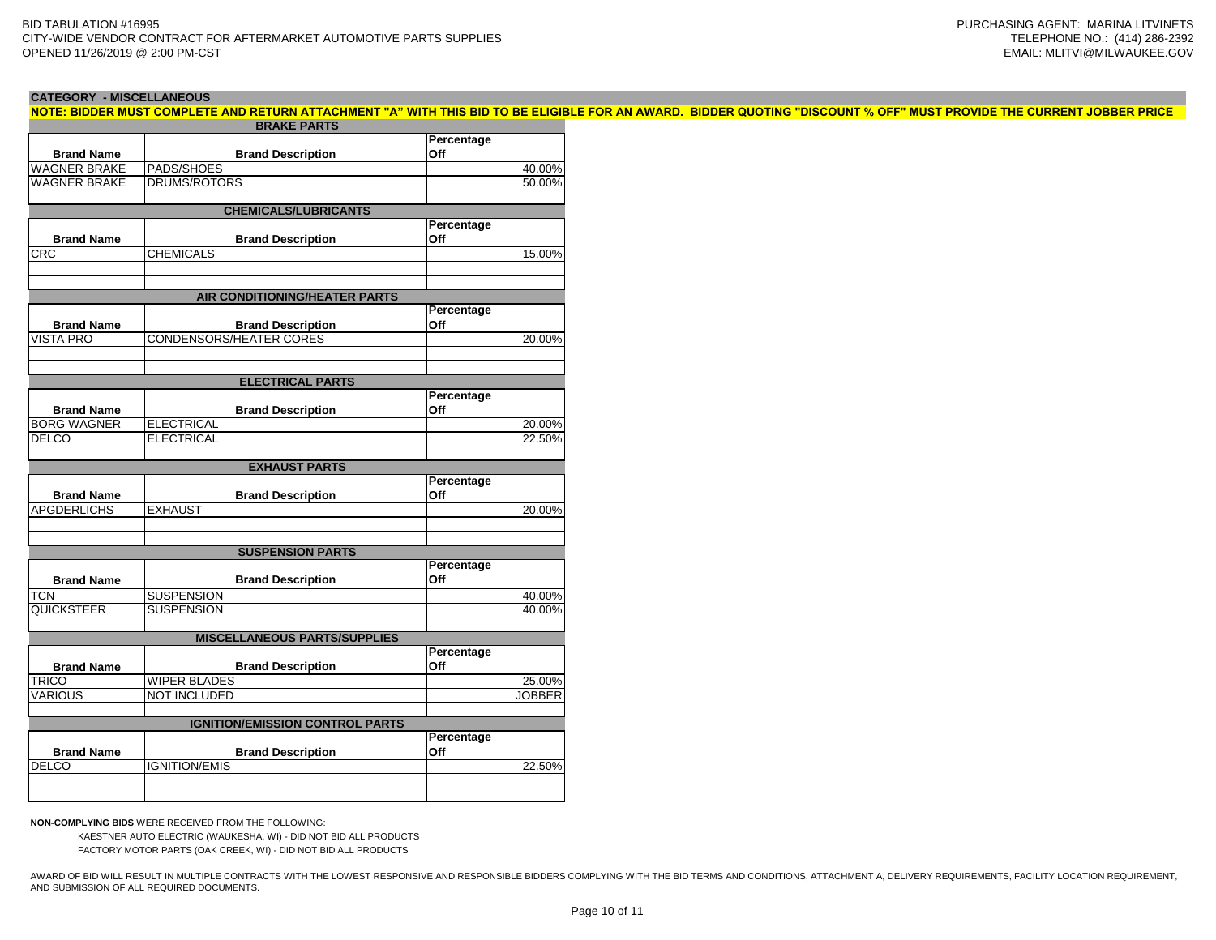**CATEGORY - MISCELLANEOUS**

| NOTE: BIDDER MUST COMPLETE AND RETURN ATTACHMENT "A" WITH THIS BID TO BE ELIGIBLE FOR AN AWARD. BIDDER QUOTING "DISCOUNT % OFF" MUST PROVIDE THE CURRENT JOBBER PRICE |  |  |  |  |
|-----------------------------------------------------------------------------------------------------------------------------------------------------------------------|--|--|--|--|
| <b>DDAVE DADTS</b>                                                                                                                                                    |  |  |  |  |

|                     | <b>BRAKE PARTS</b>                     |               |
|---------------------|----------------------------------------|---------------|
|                     |                                        | Percentage    |
| <b>Brand Name</b>   | <b>Brand Description</b>               | Off           |
| <b>WAGNER BRAKE</b> | PADS/SHOES                             | 40.00%        |
| <b>WAGNER BRAKE</b> | <b>DRUMS/ROTORS</b>                    | 50.00%        |
|                     |                                        |               |
|                     | <b>CHEMICALS/LUBRICANTS</b>            |               |
|                     |                                        | Percentage    |
| <b>Brand Name</b>   | <b>Brand Description</b>               | Off           |
| CRC                 | <b>CHEMICALS</b>                       | 15.00%        |
|                     |                                        |               |
|                     |                                        |               |
|                     | AIR CONDITIONING/HEATER PARTS          |               |
|                     |                                        | Percentage    |
| <b>Brand Name</b>   | <b>Brand Description</b>               | Off           |
| VISTA PRO           | <b>CONDENSORS/HEATER CORES</b>         | 20.00%        |
|                     |                                        |               |
|                     |                                        |               |
|                     | <b>ELECTRICAL PARTS</b>                |               |
|                     |                                        | Percentage    |
| <b>Brand Name</b>   | <b>Brand Description</b>               | Off           |
| <b>BORG WAGNER</b>  | <b>ELECTRICAL</b>                      | 20.00%        |
| <b>DELCO</b>        | <b>ELECTRICAL</b>                      | 22.50%        |
|                     |                                        |               |
|                     | <b>EXHAUST PARTS</b>                   |               |
|                     |                                        | Percentage    |
| <b>Brand Name</b>   | <b>Brand Description</b>               | Off           |
| <b>APGDERLICHS</b>  | <b>EXHAUST</b>                         | 20.00%        |
|                     |                                        |               |
|                     |                                        |               |
|                     | <b>SUSPENSION PARTS</b>                |               |
|                     |                                        | Percentage    |
| <b>Brand Name</b>   | <b>Brand Description</b>               | Off           |
|                     |                                        |               |
| TCN                 | <b>SUSPENSION</b>                      | 40.00%        |
| QUICKSTEER          | <b>SUSPENSION</b>                      | 40.00%        |
|                     |                                        |               |
|                     | <b>MISCELLANEOUS PARTS/SUPPLIES</b>    |               |
|                     |                                        | Percentage    |
| <b>Brand Name</b>   | <b>Brand Description</b>               | Off           |
| <b>TRICO</b>        | <b>WIPER BLADES</b>                    | 25.00%        |
| <b>VARIOUS</b>      | <b>NOT INCLUDED</b>                    | <b>JOBBER</b> |
|                     |                                        |               |
|                     | <b>IGNITION/EMISSION CONTROL PARTS</b> |               |
|                     |                                        | Percentage    |
| <b>Brand Name</b>   | <b>Brand Description</b>               | Off           |
| DELCO               | <b>IGNITION/EMIS</b>                   | 22.50%        |
|                     |                                        |               |
|                     |                                        |               |

**NON-COMPLYING BIDS** WERE RECEIVED FROM THE FOLLOWING:

KAESTNER AUTO ELECTRIC (WAUKESHA, WI) - DID NOT BID ALL PRODUCTS FACTORY MOTOR PARTS (OAK CREEK, WI) - DID NOT BID ALL PRODUCTS

AWARD OF BID WILL RESULT IN MULTIPLE CONTRACTS WITH THE LOWEST RESPONSIVE AND RESPONSIBLE BIDDERS COMPLYING WITH THE BID TERMS AND CONDITIONS, ATTACHMENT A, DELIVERY REQUIREMENTS, FACILITY LOCATION REQUIREMENT, AND SUBMISSION OF ALL REQUIRED DOCUMENTS.